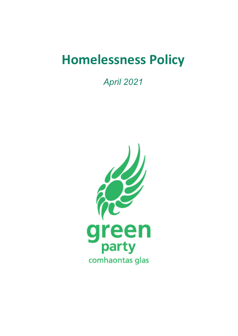# **Homelessness Policy**

*April 2021*

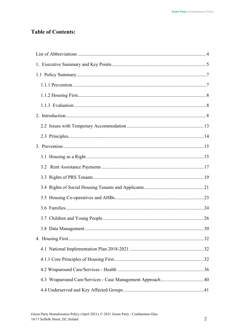# **Table of Contents:**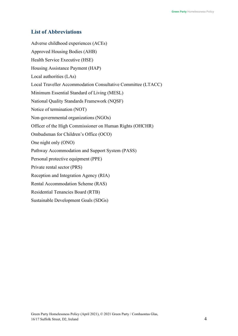# <span id="page-3-0"></span>**List of Abbreviations**

Adverse childhood experiences (ACEs) Approved Housing Bodies (AHB) Health Service Executive (HSE) Housing Assistance Payment (HAP) Local authorities (LAs) Local Traveller Accommodation Consultative Committee (LTACC) Minimum Essential Standard of Living (MESL) National Quality Standards Framework (NQSF) Notice of termination (NOT) Non-governmental organizations (NGOs) Officer of the High Commissioner on Human Rights (OHCHR) Ombudsman for Children's Office (OCO) One night only (ONO) Pathway Accommodation and Support System (PASS) Personal protective equipment (PPE) Private rental sector (PRS) Reception and Integration Agency (RIA) Rental Accommodation Scheme (RAS) Residential Tenancies Board (RTB) Sustainable Development Goals (SDGs)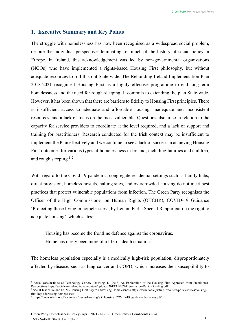# <span id="page-4-0"></span>**1. Executive Summary and Key Points**

The struggle with homelessness has now been recognised as a widespread social problem, despite the individual perspective dominating for much of the history of social policy in Europe. In Ireland, this acknowledgement was led by non-governmental organizations (NGOs) who have implemented a rights-based Housing First philosophy, but without adequate resources to roll this out State-wide. The Rebuilding Ireland Implementation Plan 2018-2021 recognised Housing First as a highly effective programme to end long-term homelessness and the need for rough-sleeping. It commits to extending the plan State-wide. However, it has been shown that there are barriers to fidelity to Housing First principles. There is insufficient access to adequate and affordable housing, inadequate and inconsistent resources, and a lack of focus on the most vulnerable. Questions also arise in relation to the capacity for service providers to coordinate at the level required, and a lack of support and training for practitioners. Research conducted for the Irish context may be insufficient to implement the Plan effectively and we continue to see a lack of success in achieving Housing First outcomes for various types of homelessness in Ireland, including families and children, and rough sleeping.<sup>1[2](#page-4-2)</sup>

With regard to the Covid-19 pandemic, congregate residential settings such as family hubs, direct provision, homeless hostels, halting sites, and overcrowded housing do not meet best practices that protect vulnerable populations from infection. The Green Party recognises the Officer of the High Commissioner on Human Rights (OHCHR), COVID-19 Guidance 'Protecting those living in homelessness, by Leilani Farha Special Rapporteur on the right to adequate housing', which states:

Housing has become the frontline defence against the coronavirus.

Home has rarely been more of a life-or-death situation.<sup>3</sup>

The homeless population especially is a medically high-risk population, disproportionately affected by disease, such as lung cancer and COPD, which increases their susceptibility to

<span id="page-4-1"></span><sup>&</sup>lt;sup>1</sup> Social care/Institute of Technology Carlow. Dowling, D (2018) An Exploration of the Housing First Approach from Practitioner Perspectives https://socialcareireland.ie/wp-content/uploads/2018/11/SCI-Presentation-David-Dowling.pdf <sup>2</sup> Social Justice Ireland (2020) Housing First Key to addressing Homelessness http[s://www.socialjustice.ie/content/policy-issues/housing-](http://www.socialjustice.ie/content/policy-issues/housing-)

<span id="page-4-2"></span>first-key-addressing-homelessness

<span id="page-4-3"></span><sup>3</sup> http[s://www.ohchr.org/Documents/Issues/Housing/SR\\_housing\\_COVID-19\\_guidance\\_homeless.pdf](http://www.ohchr.org/Documents/Issues/Housing/SR_housing_COVID-19_guidance_homeless.pdf)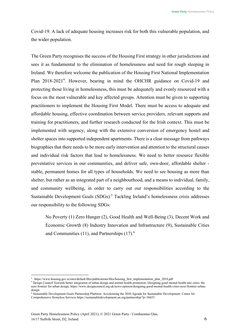Covid-19. A lack of adequate housing increases risk for both this vulnerable population, and the wider population.

The Green Party recognises the success of the Housing First strategy in other jurisdictions and sees it as fundamental to the elimination of homelessness and need for rough sleeping in Ireland. We therefore welcome the publication of the Housing First National Implementation Plan 2018-2021<sup>[4](#page-5-0)</sup>. However, bearing in mind the OHCHR guidance on Covid-19 and protecting those living in homelessness, this must be adequately and evenly resourced with a focus on the most vulnerable and key affected groups. Attention must be given to supporting practitioners to implement the Housing First Model. There must be access to adequate and affordable housing, effective coordination between service providers, relevant supports and training for practitioners, and further research conducted for the Irish context. This must be implemented with urgency, along with the extensive conversion of emergency hostel and shelter spaces into supported independent apartments. There is a clear message from pathways biographies that there needs to be more early intervention and attention to the structural causes and individual risk factors that lead to homelessness. We need to better resource flexible preventative services in our communities, and deliver safe, own-door, affordable shelter stable, permanent homes for all types of households. We need to see housing as more than shelter, but rather as an integrated part of a neighbourhood, and a means to individual, family, and community wellbeing, in order to carry out our responsibilities according to the Sustainable Development Goals (SDGs).<sup>[5](#page-5-1)</sup> Tackling Ireland's homelessness crisis addresses our responsibility to the following SDGs:

No Poverty (1) Zero Hunger (2), Good Health and Well-Being (3), Decent Work and Economic Growth (8) Industry Innovation and Infrastructure (9), Sustainable Cities and Communities  $(11)$ , and Partnerships  $(17)$ <sup>6</sup>.

<span id="page-5-0"></span><sup>4</sup> http[s://www.h](http://www.housing.gov.ie/sites/default/files/publications/files/housing_first_implementation_plan_2018.pdf)o[using.gov.ie/sites/default/files/publications/files/housing\\_first\\_implementation\\_plan\\_2018.pdf](http://www.housing.gov.ie/sites/default/files/publications/files/housing_first_implementation_plan_2018.pdf)

<span id="page-5-1"></span><sup>5</sup> Design Council Towards better integration of urban design and mental health promotion, Designing good mental health into cities: the next frontier for urban design*,* https:[//www.designcouncil.org.uk/news-opinion/designing-good-mental-health-cities-next-frontier-urban](http://www.designcouncil.org.uk/news-opinion/designing-good-mental-health-cities-next-frontier-urban-)design

<span id="page-5-2"></span><sup>6</sup> Sustainable Development Goals Partnership Platform: Accelerating the 2030 Agenda for Sustainable Development: Center for Comprehensive Homeless Services https://sustainabledevelopment.un.org/partnership/?p=36653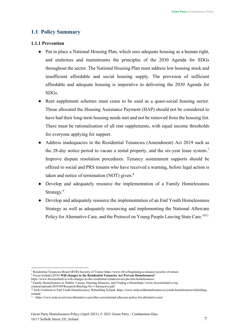# <span id="page-6-0"></span>**1.1 Policy Summary**

# <span id="page-6-1"></span>**1.1.1 Prevention**

- Put in place a National Housing Plan, which sees adequate housing as a human right, and enshrines and mainstreams the principles of the 2030 Agenda for SDGs throughout the sector. The National Housing Plan must address low housing stock and insufficient affordable and social housing supply. The provision of sufficient affordable and adequate housing is imperative to delivering the 2030 Agenda for SDGs.
- Rent supplement schemes must cease to be used as a quasi-social housing sector. Those allocated the Housing Assistance Payment (HAP) should not be considered to have had their long-term housing needs met and not be removed from the housing list. There must be rationalisation of all rent supplements, with equal income thresholds for everyone applying for support.
- Address inadequacies in the Residential Tenancies (Amendment) Act 2019 such as the 28-day notice period to vacate a rental property, and the six-year lease system.<sup>7</sup> Improve dispute resolution procedures. Tenancy sustainment supports should be offered to social and PRS tenants who have received a warning, before legal action is taken and notice of termination (NOT) given.<sup>8</sup>
- Develop and adequately resource the implementation of a Family Homelessness Strategy.<sup>9</sup>
- Develop and adequately resource the implementation of an End Youth Homelessness Strategy as well as adequately resourcing and implementing the National Aftercare Policy for Alternative Care, and the Protocol on Young People Leaving State Care.<sup>[10](#page-6-5)[11](#page-6-6)</sup>

<span id="page-6-2"></span><sup>7</sup> Residential Tenancies Board (RTB) Security of Tenure http[s://www.r](http://www.rtb.ie/beginning-a-tenancy/security-of-tenure)t[b.ie/beginning-a-tenancy/security-of-tenure](http://www.rtb.ie/beginning-a-tenancy/security-of-tenure)

<span id="page-6-3"></span><sup>8</sup> Focus Ireland (2019) **Will changes to the Residential Tenancies Act Prevent Homelessness?** http[s://www.focusireland.ie/will-changes-to-the-residential-tenancies-act-prevent-homelessness/](http://www.focusireland.ie/will-changes-to-the-residential-tenancies-act-prevent-homelessness/)

<span id="page-6-4"></span><sup>&</sup>lt;sup>9</sup> Family Homelessness in Dublin: Causes, Housing Histories, and Finding a Homehttp[s://www](http://www.focusireland.ie/wp-).[focusireland.ie/wp-](http://www.focusireland.ie/wp-)

content/uploads/2019/09/Research-Briefing-No-1-Interactive.pdf

<span id="page-6-5"></span><sup>&</sup>lt;sup>10</sup> Irish Coalition to End Youth Homelessness, Rebuilding Ireland. http[s://www.endyouthhomelessness.ie/youth-homelessness/rebuilding](http://www.endyouthhomelessness.ie/youth-homelessness/rebuilding-)ireland/

<span id="page-6-6"></span><sup>11</sup> http[s://www.tusla.ie/services/alternative-care/after-care/national-aftercare-policy-for-alternative-care/](http://www.tusla.ie/services/alternative-care/after-care/national-aftercare-policy-for-alternative-care/)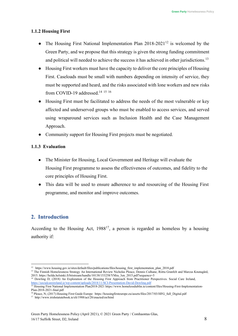# <span id="page-7-0"></span>**1.1.2 Housing First**

- The Housing First National Implementation Plan  $2018-2021^{12}$  is welcomed by the Green Party, and we propose that this strategy is given the strong funding commitment and political will needed to achieve the success it has achieved in other jurisdictions.<sup>13</sup>
- Housing First workers must have the capacity to deliver the core principles of Housing First. Caseloads must be small with numbers depending on intensity of service, they must be supported and heard, and the risks associated with lone workers and new risks from COVID-19 addressed.<sup>[14](#page-7-5) [15](#page-7-6)</sup> <sup>[16](#page-7-7)</sup>
- Housing First must be facilitated to address the needs of the most vulnerable or key affected and underserved groups who must be enabled to access services, and served using wraparound services such as Inclusion Health and the Case Management Approach.
- Community support for Housing First projects must be negotiated.

# <span id="page-7-1"></span>**1.1.3 Evaluation**

- The Minister for Housing, Local Government and Heritage will evaluate the Housing First programme to assess the effectiveness of outcomes, and fidelity to the core principles of Housing First.
- This data will be used to ensure adherence to and resourcing of the Housing First programme, and monitor and improve outcomes.

# <span id="page-7-2"></span>**2. Introduction**

According to the Housing Act,  $1988^{17}$ , a person is regarded as homeless by a housing authority if:

<span id="page-7-3"></span><sup>&</sup>lt;sup>12</sup> http[s://www.h](http://www.housing.gov.ie/sites/default/files/publications/files/housing_first_implementation_plan_2018.pdf)o[using.gov.ie/sites/default/files/publications/files/housing\\_first\\_implementation\\_plan\\_2018.pdf](http://www.housing.gov.ie/sites/default/files/publications/files/housing_first_implementation_plan_2018.pdf)

<span id="page-7-4"></span><sup>&</sup>lt;sup>13</sup> The Finnish Homelessness Strategy An International Review Nicholas Pleace, Dennis Culhane, Riitta Granfelt and Marcus Knutagård, 2015. https://helda.helsinki.fi/bitstream/handle/10138/153258/YMra\_3en\_2015.pdf?sequence=5

<span id="page-7-5"></span><sup>&</sup>lt;sup>14</sup> Dowling D; (2018) An Exploration of the Housing First Approach from Practitioner Perspectives. Social Care Ireland, <https://socialcareireland.ie/wp-content/uploads/2018/11/SCI-Presentation-David-Dowling.pdf>

<span id="page-7-6"></span><sup>&</sup>lt;sup>15</sup> Housing First National Implementation Plan2018-2021 http[s://www.h](http://www.homelessdublin.ie/content/files/Housing-First-Implementation-)o[melessdublin.ie/content/files/Housing-First-Implementation-](http://www.homelessdublin.ie/content/files/Housing-First-Implementation-)Plan-2018-2021-final.pdf

<span id="page-7-7"></span><sup>&</sup>lt;sup>16</sup> Pleace, N; (2017) Housing First Guide Europe https://housingfirsteurope.eu/assets/files/2017/03/HFG\_full\_Digital.pdf

<span id="page-7-8"></span><sup>17</sup> <http://www.irishstatutebook.ie/eli/1988/act/28/enacted/en/html>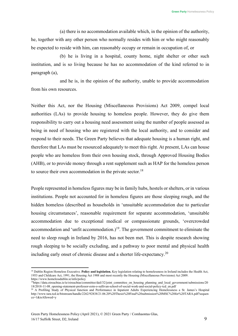(a) there is no accommodation available which, in the opinion of the authority, he, together with any other person who normally resides with him or who might reasonably be expected to reside with him, can reasonably occupy or remain in occupation of, or

(b) he is living in a hospital, county home, night shelter or other such institution, and is so living because he has no accommodation of the kind referred to in paragraph (a),

and he is, in the opinion of the authority, unable to provide accommodation from his own resources.

Neither this Act, nor the Housing (Miscellaneous Provisions) Act 2009, compel local authorities (LAs) to provide housing to homeless people. However, they do give them responsibility to carry out a housing need assessment using the number of people assessed as being in need of housing who are registered with the local authority, and to consider and respond to their needs. The Green Party believes that adequate housing is a human right, and therefore that LAs must be resourced adequately to meet this right. At present, LAs can house people who are homeless from their own housing stock, through Approved Housing Bodies (AHB), or to provide money through a rent supplement such as HAP for the homeless person to source their own accommodation in the private sector.<sup>18</sup>

People represented in homeless figures may be in family hubs, hostels or shelters, or in various institutions. People not accounted for in homeless figures are those sleeping rough, and the hidden homeless (described as households in 'unsuitable accommodation due to particular housing circumstances', reasonable requirement for separate accommodation, 'unsuitable accommodation due to exceptional medical or compassionate grounds, 'overcrowded accommodation and 'unfit accommodation.)<sup>19</sup>. The government commitment to eliminate the need to sleep rough in Ireland by 2016, has not been met. This is despite research showing rough sleeping to be socially excluding, and a pathway to poor mental and physical health including early onset of chronic disease and a shorter life-expectancy[.20](#page-8-2)

<span id="page-8-0"></span><sup>&</sup>lt;sup>18</sup> Dublin Region Homeless Executive. **Policy and legislation.** Key legislation relating to homelessness in Ireland includes the Health Act, 1953 and Childcare Act, 1991, the Housing Act 1988 and most recently the Housing (Miscellaneous Provisions) Act 2009. http[s://www.h](http://www.homelessdublin.ie/info/policy)o[melessdublin.ie/info/policy](http://www.homelessdublin.ie/info/policy)

<span id="page-8-1"></span><sup>&</sup>lt;sup>19</sup>https://data.oireachtas.ie/ie/oireachtas/committee/dail/32/joint\_committee\_on\_housing\_planning\_and\_local\_government/submissions/20 18/2018-11-08\_opening-statement-professor-eoin-o-sullivan-school-of-social-work-and-social-policy-tcd\_en.pdf

<span id="page-8-2"></span><sup>&</sup>lt;sup>20</sup> A Profiling Study of Physical function and Performance in Inpatient Adults Experiencing Homelessness a St. James's Hospital <http://www.tara.tcd.ie/bitstream/handle/2262/92838/21.06.20%20Thesis%20Final%20submission%20MSC%20for%20TARA.pdf?sequen> ce=1&isAllowed=y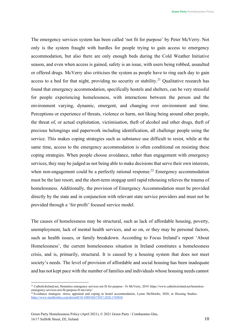The emergency services system has been called 'not fit for purpose' by Peter McVerry. Not only is the system fraught with hurdles for people trying to gain access to emergency accommodation, but also there are only enough beds during the Cold Weather Initiative season, and even when access is gained, safety is an issue, with users being robbed, assaulted or offered drugs. McVerry also criticises the system as people have to ring each day to gain access to a bed for that night, providing no security or stability.<sup>21</sup> Qualitative research has found that emergency accommodation, specifically hostels and shelters, can be very stressful for people experiencing homelessness, with interactions between the person and the environment varying, dynamic, emergent, and changing over environment and time. Perceptions or experience of threats, violence or harm, not liking being around other people, the threat of, or actual exploitation, victimisation, theft of alcohol and other drugs, theft of precious belongings and paperwork including identification, all challenge people using the service. This makes coping strategies such as substance use difficult to resist, while at the same time, access to the emergency accommodation is often conditional on resisting these coping strategies. When people choose avoidance, rather than engagement with emergency services, they may be judged as not being able to make decisions that serve their own interests, when non-engagement could be a perfectly rational response.<sup>22</sup> Emergency accommodation must be the last resort, and the short-term stopgap until rapid rehousing relieves the trauma of homelessness. Additionally, the provision of Emergency Accommodation must be provided directly by the state and in conjunction with relevant state service providers and must not be provided through a 'for profit' focused service model.

The causes of homelessness may be structural, such as lack of affordable housing, poverty, unemployment, lack of mental health services, and so on, or they may be personal factors, such as health issues, or family breakdown. According to Focus Ireland's report 'About Homelessness', the current homelessness situation in Ireland constitutes a homelessness crisis, and is, primarily, structural. It is caused by a housing system that does not meet society's needs. The level of provision of affordable and social housing has been inadequate and has not kept pace with the number of families and individuals whose housing needs cannot

<span id="page-9-0"></span><sup>&</sup>lt;sup>21</sup> CatholicIreland.net, Homeless emergency services not fit for purpose - Fr McVerry, 2019. http[s://www.catholicireland.net/homeless](http://www.catholicireland.net/homeless-)emergency-services-not-fit-purpose-fr-mcverry/

<span id="page-9-1"></span><sup>&</sup>lt;sup>22</sup>Avoidance strategies: stress, appraisal and coping in hostel accommodation, Lynne McMordie, 2020, in Housing Studies. <https://www.tandfonline.com/doi/pdf/10.1080/02673037.2020.1769036>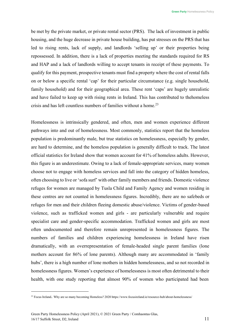be met by the private market, or private rental sector (PRS). The lack of investment in public housing, and the huge decrease in private house building, has put stresses on the PRS that has led to rising rents, lack of supply, and landlords 'selling up' or their properties being repossessed. In addition, there is a lack of properties meeting the standards required for RS and HAP and a lack of landlords willing to accept tenants in receipt of these payments. To qualify for this payment, prospective tenants must find a property where the cost of rental falls on or below a specific rental 'cap' for their particular circumstance (e.g. single household, family household) and for their geographical area. These rent 'caps' are hugely unrealistic and have failed to keep up with rising rents in Ireland. This has contributed to thehomeless crisis and has left countless numbers of families without a home.<sup>23</sup>

Homelessness is intrinsically gendered, and often, men and women experience different pathways into and out of homelessness. Most commonly, statistics report that the homeless population is predominantly male, but true statistics on homelessness, especially by gender, are hard to determine, and the homeless population is generally difficult to track. The latest official statistics for Ireland show that women account for 41% of homeless adults. However, this figure is an underestimate. Owing to a lack of female-appropriate services, many women choose not to engage with homeless services and fall into the category of hidden homeless, often choosing to live or 'sofa surf' with other family members and friends. Domestic violence refuges for women are managed by Tusla Child and Family Agency and women residing in these centres are not counted in homelessness figures. Incredibly, there are no safebeds or refuges for men and their children fleeing domestic abuse/violence. Victims of gender-based violence, such as trafficked women and girls - are particularly vulnerable and require specialist care and gender-specific accommodation. Trafficked women and girls are most often undocumented and therefore remain unrepresented in homelessness figures. The numbers of families and children experiencing homelessness in Ireland have risen dramatically, with an overrepresentation of female-headed single parent families (lone mothers account for 86% of lone parents). Although many are accommodated in 'family hubs', there is a high number of lone mothers in hidden homelessness, and so not recorded in homelessness figures. Women's experience of homelessness is most often detrimental to their health, with one study reporting that almost 90% of women who participated had been

<span id="page-10-0"></span><sup>&</sup>lt;sup>23</sup> Focus Ireland. Why are so many becoming Homeless? 2020 http[s://www.focusireland.ie/resource-hub/about-homelessness/](http://www.focusireland.ie/resource-hub/about-homelessness/)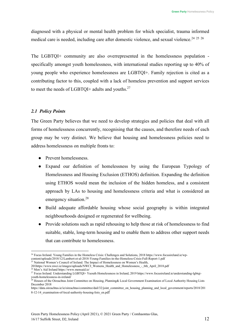diagnosed with a physical or mental health problem for which specialist, trauma informed medical care is needed, including care after domestic violence, and sexual violence.<sup>[24](#page-11-0) [25](#page-11-1)</sup> <sup>[26](#page-11-2)</sup>

The LGBTQI+ community are also overrepresented in the homelessness population specifically amongst youth homelessness, with international studies reporting up to 40% of young people who experience homelessness are LGBTQI+. Family rejection is cited as a contributing factor to this, coupled with a lack of homeless prevention and support services to meet the needs of LGBTQI+ adults and youths. $27$ 

# *2.1 Policy Points*

The Green Party believes that we need to develop strategies and policies that deal with all forms of homelessness concurrently, recognising that the causes, and therefore needs of each group may be very distinct. We believe that housing and homelessness policies need to address homelessness on multiple fronts to:

- Prevent homelessness.
- Expand our definition of homelessness by using the European Typology of Homelessness and Housing Exclusion (ETHOS) definition. Expanding the definition using ETHOS would mean the inclusion of the hidden homeless, and a consistent approach by LAs to housing and homelessness criteria and what is considered an emergency situation.<sup>[28](#page-11-4)</sup>
- Build adequate affordable housing whose social geography is within integrated neighbourhoods designed or regenerated for wellbeing.
- Provide solutions such as rapid rehousing to help those at risk of homelessness to find suitable, stable, long-term housing and to enable them to address other support needs that can contribute to homelessness.

<span id="page-11-1"></span>201http[s://www.nwci.ie/images/uploads/NWCI\\_Womens\\_Health\\_and\\_Homelessness\\_-\\_6th\\_April\\_2018.pdf](http://www.nwci.ie/images/uploads/NWCI_Womens_Health_and_Homelessness_-_6th_April_2018.pdf)

<span id="page-11-2"></span><sup>26</sup> Men's Aid Ireland http[s://www.m](http://www.mensaid.ie/)e[nsaid.ie/](http://www.mensaid.ie/)

<span id="page-11-0"></span><sup>&</sup>lt;sup>24</sup> Focus Ireland. Young Families in the Homeless Crisis: Challenges and Solutions, 2018 http[s://www.focusireland.ie/wp](http://www.focusireland.ie/wp-)content/uploads/2018/12/Lambert-et-al-2018-Young-Families-in-the-Homeless-Crisis-Full-Report-1.pdf <sup>25</sup> National Women's Council of Ireland. The Impact of Homelessness on Women's Health,

<span id="page-11-3"></span><sup>27</sup> Focus Ireland. Understanding LGBTQI+ Yuouth Homelessness in Ireland, 2019 http[s://www.focusireland.ie/understanding-lgbtqi](http://www.focusireland.ie/understanding-lgbtqi-)youth-homelessness-in-ireland/

<span id="page-11-4"></span><sup>&</sup>lt;sup>28</sup> Houses of the Oireachtas Joint Committee on Housing, Planning& Local Government Examination of Local Authority Housing Lists December 2018

https://data.oireachtas.ie/ie/oireachtas/committee/dail/32/joint\_committee\_on\_housing\_planning\_and\_local\_government/reports/2018/201 8-12-14\_examination-of-local-authority-housing-lists\_en.pdf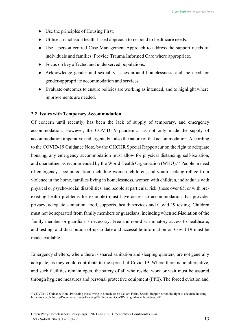- Use the principles of Housing First.
- Utilise an inclusion health-based approach to respond to healthcare needs.
- Use a person-centred Case Management Approach to address the support needs of individuals and families. Provide Trauma Informed Care where appropriate.
- Focus on key affected and underserved populations.
- Acknowledge gender and sexuality issues around homelessness, and the need for gender-appropriate accommodation and services.
- Evaluate outcomes to ensure policies are working as intended, and to highlight where improvements are needed.

# <span id="page-12-0"></span>**2.2 Issues with Temporary Accommodation**

Of concern until recently, has been the lack of supply of temporary, and emergency accommodation. However, the COVID-19 pandemic has not only made the supply of accommodation imperative and urgent, but also the nature of that accommodation. According to the COVID-19 Guidance Note, by the OHCHR Special Rapporteur on the right to adequate housing, any emergency accommodation must allow for physical distancing, self-isolation, and quarantine, as recommended by the World Health Organisation (WHO).<sup>29</sup> People in need of emergency accommodation, including women, children, and youth seeking refuge from violence in the home, families living in homelessness, women with children, individuals with physical or psycho-social disabilities, and people at particular risk (those over 65, or with preexisting health problems for example) must have access to accommodation that provides privacy, adequate sanitation, food, supports, health services and Covid-19 testing. Children must not be separated from family members or guardians, including when self-isolation of the family member or guardian is necessary. Free and non-discriminatory access to healthcare, and testing, and distribution of up-to-date and accessible information on Covid-19 must be made available.

Emergency shelters, where there is shared sanitation and sleeping quarters, are not generally adequate, as they could contribute to the spread of Covid-19. Where there is no alternative, and such facilities remain open, the safety of all who reside, work or visit must be assured through hygiene measures and personal protective equipment (PPE). The forced eviction and

<span id="page-12-1"></span><sup>&</sup>lt;sup>29</sup> COVID-19 Guidance Note1Protecting those living in homelessness Leilani Farha, Special Rapporteur on the right to adequate housing, http[s://www.ohchr.org/Documents/Issues/Housing/SR\\_housing\\_COVID-19\\_guidance\\_homeless.pdf](http://www.ohchr.org/Documents/Issues/Housing/SR_housing_COVID-19_guidance_homeless.pdf)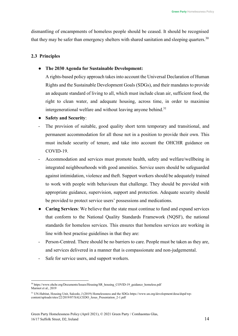dismantling of encampments of homeless people should be ceased. It should be recognised that they may be safer than emergency shelters with shared sanitation and sleeping quarters.<sup>[30](#page-13-1)</sup>

# <span id="page-13-0"></span>**2.3 Principles**

# ● **The 2030 Agenda for Sustainable Development:**

A rights-based policy approach takesinto account the Universal Declaration of Human Rights and the Sustainable Development Goals (SDGs), and their mandates to provide an adequate standard of living to all, which must include clean air, sufficient food, the right to clean water, and adequate housing, across time, in order to maximise intergenerational welfare and without leaving anyone behind. $31$ 

- **Safety and Security**:
- The provision of suitable, good quality short term temporary and transitional, and permanent accommodation for all those not in a position to provide their own. This must include security of tenure, and take into account the OHCHR guidance on COVID-19.
- Accommodation and services must promote health, safety and welfare/wellbeing in integrated neighbourhoods with good amenities. Service users should be safeguarded against intimidation, violence and theft. Support workers should be adequately trained to work with people with behaviours that challenge. They should be provided with appropriate guidance, supervision, support and protection. Adequate security should be provided to protect service users' possessions and medications.
- **Caring Services:** We believe that the state must continue to fund and expand services that conform to the National Quality Standards Framework (NQSF), the national standards for homeless services. This ensures that homeless services are working in line with best practise guidelines in that they are:
- Person-Centred. There should be no barriers to care. People must be taken as they are, and services delivered in a manner that is compassionate and non-judgemental.
- Safe for service users, and support workers.

<span id="page-13-1"></span><sup>&</sup>lt;sup>30</sup> http[s://www.ohchr.org/Documents/Issues/Housing/SR\\_housing\\_COVID-19\\_guidance\\_homeless.pdf](http://www.ohchr.org/Documents/Issues/Housing/SR_housing_COVID-19_guidance_homeless.pdf) Marmot et al., 2019

<span id="page-13-2"></span><sup>&</sup>lt;sup>31</sup> UN-Habitat, Housing Unit, Salcedo, J (2019) Homelessness and the SDGs http[s://www.un.org/development/desa/dspd/wp](http://www.un.org/development/desa/dspd/wp-)content/uploads/sites/22/2019/07/SALCEDO\_Jesus\_Presentation\_2-1.pdf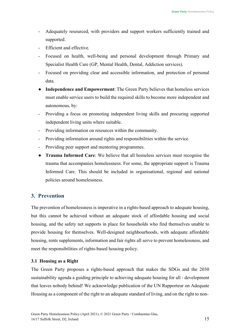- Adequately resourced, with providers and support workers sufficiently trained and supported.
- Efficient and effective.
- Focused on health, well-being and personal development through Primary and Specialist Health Care (GP, Mental Health, Dental, Addiction services).
- Focused on providing clear and accessible information, and protection of personal data.
- **Independence and Empowerment**: The Green Party believes that homeless services must enable service users to build the required skills to become more independent and autonomous, by:
- Providing a focus on promoting independent living skills and procuring supported independent living units where suitable.
- Providing information on resources within the community.
- Providing information around rights and responsibilities within the service.
- Providing peer support and mentoring programmes.
- **Trauma Informed Care**: We believe that all homeless services must recognise the trauma that accompanies homelessness. For some, the appropriate support is Trauma Informed Care. This should be included in organisational, regional and national policies around homelessness.

# <span id="page-14-0"></span>**3. Prevention**

The prevention of homelessness is imperative in a rights-based approach to adequate housing, but this cannot be achieved without an adequate stock of affordable housing and social housing, and the safety net supports in place for households who find themselves unable to provide housing for themselves. Well-designed neighbourhoods, with adequate affordable housing, rents supplements, information and fair rights all serve to prevent homelessness, and meet the responsibilities of rights-based housing policy.

# <span id="page-14-1"></span>**3.1 Housing as a Right**

The Green Party proposes a rights-based approach that makes the SDGs and the 2030 sustainability agenda a guiding principle to achieving adequate housing for all - development that leaves nobody behind! We acknowledge publication of the UN Rapporteur on Adequate Housing as a component of the right to an adequate standard of living, and on the right to non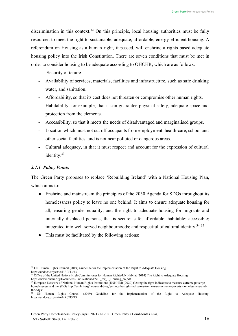discrimination in this context.<sup>[32](#page-15-0)</sup> On this principle, local housing authorities must be fully resourced to meet the right to sustainable, adequate, affordable, energy-efficient housing. A referendum on Housing as a human right, if passed, will enshrine a rights-based adequate housing policy into the Irish Constitution. There are seven conditions that must be met in order to consider housing to be adequate according to OHCHR, which are as follows:

- Security of tenure.
- Availability of services, materials, facilities and infrastructure, such as safe drinking water, and sanitation.
- Affordability, so that its cost does not threaten or compromise other human rights.
- Habitability, for example, that it can guarantee physical safety, adequate space and protection from the elements.
- Accessibility, so that it meets the needs of disadvantaged and marginalised groups.
- Location which must not cut off occupants from employment, health-care, school and other social facilities, and is not near polluted or dangerous areas.
- Cultural adequacy, in that it must respect and account for the expression of cultural identity.<sup>33</sup>

# *3.1.1 Policy Points*

The Green Party proposes to replace 'Rebuilding Ireland' with a National Housing Plan, which aims to:

- Enshrine and mainstream the principles of the 2030 Agenda for SDGs throughout its homelessness policy to leave no one behind. It aims to ensure adequate housing for all, ensuring gender equality, and the right to adequate housing for migrants and internally displaced persons, that is secure; safe; affordable; habitable; accessible; integrated into well-served neighbourhoods; and respectful of cultural identity.<sup>34</sup> <sup>[35](#page-15-3)</sup>
- This must be facilitated by the following actions:

<span id="page-15-0"></span><sup>&</sup>lt;sup>32</sup> UN Human Rights Council (2019) Guideline for the Implementation of the Right to Adequate Housing https://undocs.org/en/A/HRC/43/43

<span id="page-15-1"></span><sup>&</sup>lt;sup>33</sup> Office of the United Nations High Commissioner for Human Rights/UN Habitat (2014) The Right to Adequate Housing http[s://www.ohchr.org/Documents/Publications/FS21\\_rev\\_1\\_Housing\\_en.pdf](http://www.ohchr.org/Documents/Publications/FS21_rev_1_Housing_en.pdf)

<span id="page-15-2"></span><sup>&</sup>lt;sup>34</sup> European Network of National Human Rights Institutions (ENNHRI) (2020) Getting the right indicators to measure extreme poverty: homelessness and the SDG[s http://ennhri.org/news-and-blog/getting-the-right-indicators-to-measure-extreme-poverty-homelessness-and](http://ennhri.org/news-and-blog/getting-the-right-indicators-to-measure-extreme-poverty-homelessness-and-)the-sdgs/

<span id="page-15-3"></span><sup>35</sup> UN Human Rights Council (2019) Guideline for the Implementation of the Right to Adequate Housing https://undocs.org/en/A/HRC/43/43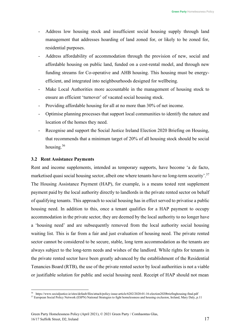- Address low housing stock and insufficient social housing supply through land management that addresses hoarding of land zoned for, or likely to be zoned for, residential purposes.
- Address affordability of accommodation through the provision of new, social and affordable housing on public land, funded on a cost-rental model, and through new funding streams for Co-operative and AHB housing. This housing must be energyefficient, and integrated into neighbourhoods designed for wellbeing.
- Make Local Authorities more accountable in the management of housing stock to ensure an efficient 'turnover' of vacated social housing stock.
- Providing affordable housing for all at no more than 30% of net income.
- Optimise planning processes that support local communities to identify the nature and location of the homes they need.
- Recognise and support the Social Justice Ireland Election 2020 Briefing on Housing, that recommends that a minimum target of 20% of all housing stock should be social housing[.36](#page-16-1)

#### <span id="page-16-0"></span>**3.2 Rent Assistance Payments**

Rent and income supplements, intended as temporary supports, have become 'a de facto, marketised quasi social housing sector, albeit one where tenants have no long-term security'.<sup>37</sup> The Housing Assistance Payment (HAP), for example, is a means tested rent supplement payment paid by the local authority directly to landlords in the private rented sector on behalf of qualifying tenants. This approach to social housing has in effect served to privatise a public housing need. In addition to this, once a tenant qualifies for a HAP payment to occupy accommodation in the private sector, they are deemed by the local authority to no longer have a 'housing need' and are subsequently removed from the local authority social housing waiting list. This is far from a fair and just evaluation of housing need. The private rented sector cannot be considered to be secure, stable, long term accommodation as the tenants are always subject to the long-term needs and wishes of the landlord. While rights for tenants in the private rented sector have been greatly advanced by the establishment of the Residential Tenancies Board (RTB), the use of the private rented sector by local authorities is not a viable or justifiable solution for public and social housing need. Receipt of HAP should not mean

<span id="page-16-1"></span><sup>36</sup> https:[//www.socialjustice.ie/sites/default/files/attach/policy-issue-article/6202/2020-01-16-election2020briefinghousing-final.pdf](http://www.socialjustice.ie/sites/default/files/attach/policy-issue-article/6202/2020-01-16-election2020briefinghousing-final.pdf)

<span id="page-16-2"></span><sup>&</sup>lt;sup>37</sup> European Social Policy Network (ESPN) National Strategies to fight homelessness and housing exclusion, Ireland, Mary Daly, p.11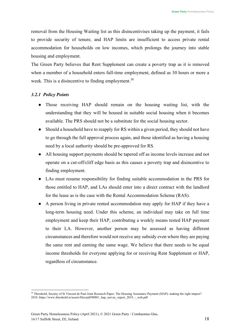removal from the Housing Waiting list as this disincentivises taking up the payment, it fails to provide security of tenure, and HAP limits are insufficient to access private rental accommodation for households on low incomes, which prolongs the journey into stable housing and employment.

The Green Party believes that Rent Supplement can create a poverty trap as it is removed when a member of a household enters full-time employment, defined as 30 hours or more a week. This is a disincentive to finding employment.<sup>38</sup>

# *3.2.1 Policy Points*

- Those receiving HAP should remain on the housing waiting list, with the understanding that they will be housed in suitable social housing when it becomes available. The PRS should not be a substitute for the social housing sector.
- Should a household have to reapply for RS within a given period, they should not have to go through the full approval process again, and those identified as having a housing need by a local authority should be pre-approved for RS.
- All housing support payments should be tapered off as income levels increase and not operate on a cut-off/cliff edge basis as this causes a poverty trap and disincentive to finding employment.
- LAs must resume responsibility for finding suitable accommodation in the PRS for those entitled to HAP, and LAs should enter into a direct contract with the landlord for the lease as is the case with the Rental Accommodation Scheme (RAS).
- A person living in private rented accommodation may apply for HAP if they have a long-term housing need. Under this scheme, an individual may take on full time employment and keep their HAP, contributing a weekly means tested HAP payment to their LA. However, another person may be assessed as having different circumstances and therefore would not receive any subsidy even where they are paying the same rent and earning the same wage. We believe that there needs to be equal income thresholds for everyone applying for or receiving Rent Supplement or HAP, regardless of circumstance.

<span id="page-17-0"></span><sup>38</sup> Threshold, Society of St Vincent de Paul Joint Research Paper, The Housing Assistance Payment (HAP): making the right impact? 2018. http[s://www.threshold.ie/assets/files/pdf/00881\\_hap\\_survey\\_report\\_2019\\_-\\_web.pdf](http://www.threshold.ie/assets/files/pdf/00881_hap_survey_report_2019_-_web.pdf)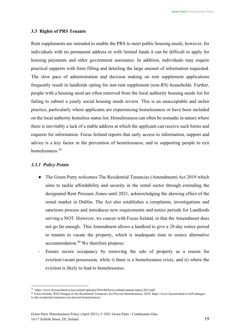#### <span id="page-18-0"></span>**3.3 Rights of PRS Tenants**

Rent supplements are intended to enable the PRS to meet public housing needs, however, for individuals with no permanent address or with limited funds it can be difficult to apply for housing payments and other government assistance. In addition, individuals may require practical supports with form filling and detailing the large amount of information requested. The slow pace of administration and decision making on rent supplement applications frequently result in landlords opting for non rent supplement (non-RS) households. Further, people with a housing need are often removed from the local authority housing needs list for failing to submit a yearly social housing needs review. This is an unacceptable and unfair practice, particularly where applicants are experiencing homelessness or have been included on the local authority homeless status list. Homelessness can often be nomadic in nature where there is inevitably a lack of a stable address at which the applicant can receive such forms and requests for information. Focus Ireland reports that early access to information, support and advice is a key factor in the prevention of homelessness, and to supporting people to exit homelessness.<sup>[39](#page-18-1)</sup>

#### *3.3.1 Policy Points*

- The Green Party welcomes The Residential Tenancies (Amendment) Act 2019 which aims to tackle affordability and security in the rental sector through extending the designated Rent Pressure Zones until 2021, acknowledging the skewing effect of the rental market in Dublin. The Act also establishes a complaints, investigations and sanctions process and introduces new requirements and notice periods for Landlords serving a NOT. However, we concur with Focus Ireland, in that the Amendment does not go far enough. This Amendment allows a landlord to give a 28-day notice period to tenants to vacate the property, which is inadequate time to source alternative accommodation.<sup>40</sup> We therefore propose:
- Ensure secure occupancy by removing the sale of property as a reason for eviction/vacant possession, while i) there is a homelessness crisis, and ii) where the eviction is likely to lead to homelessness.

<span id="page-18-1"></span><sup>39</sup> http[s://www.focusireland.ie/wp-content/uploads/2016/04/focus-ireland-annual-report-2012.pdf](http://www.focusireland.ie/wp-content/uploads/2016/04/focus-ireland-annual-report-2012.pdf)

<span id="page-18-2"></span><sup>40</sup> Focus Ireland, Will Changes to the Residential Tenancies Act Prevent Homelessness, 2019. http[s://www.focusireland.ie/will-changes](http://www.focusireland.ie/will-changes-)to-the-residential-tenancies-act-prevent-homelessness/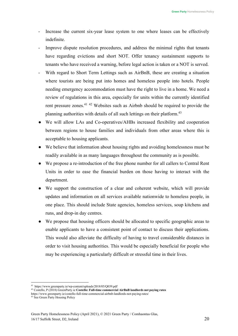- Increase the current six-year lease system to one where leases can be effectively indefinite.
- Improve dispute resolution procedures, and address the minimal rights that tenants have regarding evictions and short NOT. Offer tenancy sustainment supports to tenants who have received a warning, before legal action is taken or a NOT is served.
- With regard to Short Term Lettings such as AirBnB, these are creating a situation where tourists are being put into homes and homeless people into hotels. People needing emergency accommodation must have the right to live in a home. We need a review of regulations in this area, especially for units within the currently identified rent pressure zones.[41](#page-19-0) [42](#page-19-1) Websites such as Airbnb should be required to provide the planning authorities with details of all such lettings on their platform.<sup>43</sup>
- We will allow LAs and Co-operatives/AHBs increased flexibility and cooperation between regions to house families and individuals from other areas where this is acceptable to housing applicants.
- We believe that information about housing rights and avoiding homelessness must be readily available in as many languages throughout the community as is possible.
- We propose a re-introduction of the free phone number for all callers to Central Rent Units in order to ease the financial burden on those having to interact with the department.
- We support the construction of a clear and coherent website, which will provide updates and information on all services available nationwide to homeless people, in one place. This should include State agencies, homeless services, soup kitchens and runs, and drop-in day centres.
- We propose that housing officers should be allocated to specific geographic areas to enable applicants to have a consistent point of contact to discuss their applications. This would also alleviate the difficulty of having to travel considerable distances in order to visit housing authorities. This would be especially beneficial for people who may be experiencing a particularly difficult or stressful time in their lives.

<span id="page-19-1"></span><sup>42</sup> Costello, P (2018) GreenParty.ie **Costello: Full-time commercial AirBnB landlords not paying rates**

<span id="page-19-2"></span><sup>43</sup> See Green Party Housing Policy

<span id="page-19-0"></span><sup>41</sup> http[s://www.greenparty.ie/wp-content/uploads/2018/05/Q039.pdf](http://www.greenparty.ie/wp-content/uploads/2018/05/Q039.pdf)

http[s://www.greenparty.ie/costello-full-time-commercial-airbnb-landlords-not-paying-rates/](http://www.greenparty.ie/costello-full-time-commercial-airbnb-landlords-not-paying-rates/)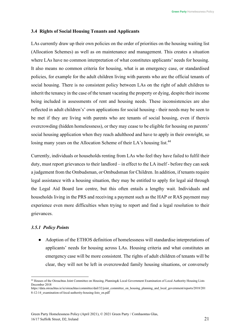#### <span id="page-20-0"></span>**3.4 Rights of Social Housing Tenants and Applicants**

LAs currently draw up their own policies on the order of priorities on the housing waiting list (Allocation Schemes) as well as on maintenance and management. This creates a situation where LAs have no common interpretation of what constitutes applicants' needs for housing. It also means no common criteria for housing, what is an emergency case, or standardised policies, for example for the adult children living with parents who are the official tenants of social housing. There is no consistent policy between LAs on the right of adult children to inherit the tenancy in the case of the tenant vacating the property or dying, despite their income being included in assessments of rent and housing needs. These inconsistencies are also reflected in adult children's' own applications for social housing - their needs may be seen to be met if they are living with parents who are tenants of social housing, even if thereis overcrowding (hidden homelessness), or they may cease to be eligible for housing on parents' social housing application when they reach adulthood and have to apply in their ownright, so losing many years on the Allocation Scheme of their LA's housing list.<sup>44</sup>

Currently, individuals or households renting from LAs who feel they have failed to fulfil their duty, must report grievances to their landlord – in effect to the LA itself - before they can seek a judgement from the Ombudsman, or Ombudsman for Children. In addition, if tenants require legal assistance with a housing situation, they may be entitled to apply for legal aid through the Legal Aid Board law centre, but this often entails a lengthy wait. Individuals and households living in the PRS and receiving a payment such as the HAP or RAS payment may experience even more difficulties when trying to report and find a legal resolution to their grievances.

#### *3.5.1 Policy Points*

● Adoption of the ETHOS definition of homelessness will standardise interpretations of applicants' needs for housing across LAs. Housing criteria and what constitutes an emergency case will be more consistent. The rights of adult children of tenants will be clear, they will not be left in overcrowded family housing situations, or conversely

<span id="page-20-1"></span><sup>44</sup> Houses of the Oireachtas Joint Committee on Housing, Planning& Local Government Examination of Local Authority Housing Lists December 2018

https://data.oireachtas.ie/ie/oireachtas/committee/dail/32/joint\_committee\_on\_housing\_planning\_and\_local\_government/reports/2018/201 8-12-14\_examination-of-local-authority-housing-lists\_en.pdf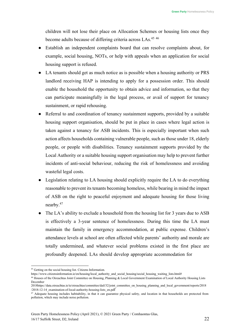children will not lose their place on Allocation Schemes or housing lists once they become adults because of differing criteria across LAs.<sup>45 [46](#page-21-1)</sup>

- Establish an independent complaints board that can resolve complaints about, for example, social housing, NOTs, or help with appeals when an application for social housing support is refused.
- LA tenants should get as much notice as is possible when a housing authority or PRS landlord receiving HAP is intending to apply for a possession order. This should enable the household the opportunity to obtain advice and information, so that they can participate meaningfully in the legal process, or avail of support for tenancy sustainment, or rapid rehousing.
- Referral to and coordination of tenancy sustainment supports, provided by a suitable housing support organisation, should be put in place in cases where legal action is taken against a tenancy for ASB incidents. This is especially important when such action affects households containing vulnerable people, such as those under 18, elderly people, or people with disabilities. Tenancy sustainment supports provided by the Local Authority or a suitable housing support organisation may help to prevent further incidents of anti-social behaviour, reducing the risk of homelessness and avoiding wasteful legal costs.
- Legislation relating to LA housing should explicitly require the LA to do everything reasonable to prevent its tenants becoming homeless, while bearing in mind the impact of ASB on the right to peaceful enjoyment and adequate housing for those living nearby[.47](#page-21-2)
- The LA's ability to exclude a household from the housing list for 3 years due to ASB is effectively a 3-year sentence of homelessness. During this time the LA must maintain the family in emergency accommodation, at public expense. Children's attendance levels at school are often affected while parents' authority and morale are totally undermined, and whatever social problems existed in the first place are profoundly deepened. LAs should develop appropriate accommodation for

<span id="page-21-0"></span><sup>45</sup> Getting on the social housing list. Citizens Information.

http[s://www.citizensinformation.ie/en/housing/local\\_authority\\_and\\_social\\_housing/social\\_housing\\_waiting\\_lists.html#](http://www.citizensinformation.ie/en/housing/local_authority_and_social_housing/social_housing_waiting_lists.html)

<span id="page-21-1"></span><sup>46</sup> Houses of the Oireachtas Joint Committee on Housing, Planning & Local Government Examination of Local Authority Housing Lists December

<sup>2018</sup>https://data.oireachtas.ie/ie/oireachtas/committee/dail/32/joint\_committee\_on\_housing\_planning\_and\_local\_government/reports/2018 /2018-12-14\_examination-of-local-authority-housing-lists\_en.pdf

<span id="page-21-2"></span><sup>&</sup>lt;sup>47</sup> Adequate housing includes habitability, in that it can guarantee physical safety, and location in that households are protected from pollution, which may include noise pollution.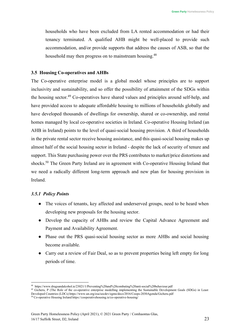households who have been excluded from LA rented accommodation or had their tenancy terminated. A qualified AHB might be well-placed to provide such accommodation, and/or provide supports that address the causes of ASB, so that the household may then progress on to mainstream housing.<sup>48</sup>

#### <span id="page-22-0"></span>**3.5 Housing Co-operatives and AHBs**

The Co-operative enterprise model is a global model whose principles are to support inclusivity and sustainability, and so offer the possibility of attainment of the SDGs within the housing sector.<sup>49</sup> Co-operatives have shared values and principles around self-help, and have provided access to adequate affordable housing to millions of households globally and have developed thousands of dwellings for ownership, shared or co-ownership, and rental homes managed by local co-operative societies in Ireland. Co-operative Housing Ireland (an AHB in Ireland) points to the level of quasi-social housing provision. A third of households in the private rental sector receive housing assistance, and this quasi-social housing makes up almost half of the social housing sector in Ireland - despite the lack of security of tenure and support. This State purchasing power over the PRS contributes to market/price distortions and shocks.<sup>50</sup> The Green Party Ireland are in agreement with Co-operative Housing Ireland that we need a radically different long-term approach and new plan for housing provision in Ireland.

# *3.5.1 Policy Points*

- The voices of tenants, key affected and underserved groups, need to be heard when developing new proposals for the housing sector.
- Develop the capacity of AHBs and review the Capital Advance Agreement and Payment and Availability Agreement.
- Phase out the PRS quasi-social housing sector as more AHBs and social housing become available.
- Carry out a review of Fair Deal, so as to prevent properties being left empty for long periods of time.

<span id="page-22-1"></span><sup>48</sup> https:/[/www.drugsandalcohol.ie/23021/1/Preventing%20and%20combating%20anti-social%20behaviour.pdf](http://www.drugsandalcohol.ie/23021/1/Preventing%20and%20combating%20anti-social%20behaviour.pdf)

<span id="page-22-2"></span><sup>&</sup>lt;sup>49</sup> Gicheru, P (The Role of the co-operative enterprise modelling implementing the Sustainable Development Goals (SDGs) in Least Developed Countries (LDCs) http[s://www.un.org/esa/socdev/egms/docs/2016/Coops-2030Agenda/Gicheru.pdf](http://www.un.org/esa/socdev/egms/docs/2016/Coops-2030Agenda/Gicheru.pdf)

<span id="page-22-3"></span><sup>50</sup> Co-operative Housing Ireland https://cooperativehousing.ie/co-operative-housing/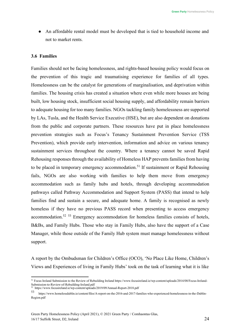An affordable rental model must be developed that is tied to household income and not to market rents.

#### <span id="page-23-0"></span>**3.6 Families**

Families should not be facing homelessness, and rights-based housing policy would focus on the prevention of this tragic and traumatising experience for families of all types. Homelessness can be the catalyst for generations of marginalisation, and deprivation within families. The housing crisis has created a situation where even while more houses are being built, low housing stock, insufficient social housing supply, and affordability remain barriers to adequate housing for too many families. NGOs tackling family homelessness are supported by LAs, Tusla, and the Health Service Executive (HSE), but are also dependent on donations from the public and corporate partners. These resources have put in place homelessness prevention strategies such as Focus's Tenancy Sustainment Prevention Service (TSS Prevention), which provide early intervention, information and advice on various tenancy sustainment services throughout the country. Where a tenancy cannot be saved Rapid Rehousing responses through the availability of Homeless HAP prevents families from having to be placed in temporary emergency accommodation.<sup>51</sup> If sustainment or Rapid Rehousing fails, NGOs are also working with families to help them move from emergency accommodation such as family hubs and hotels, through developing accommodation pathways called Pathway Accommodation and Support System (PASS) that intend to help families find and sustain a secure, and adequate home. A family is recognised as newly homeless if they have no previous PASS record when presenting to access emergency accommodation[.52](#page-23-2) [53](#page-23-3) Emergency accommodation for homeless families consists of hotels, B&Bs, and Family Hubs. Those who stay in Family Hubs, also have the support of a Case Manager, while those outside of the Family Hub system must manage homelessness without support.

A report by the Ombudsman for Children's Office (OCO), 'No Place Like Home, Children's Views and Experiences of living in Family Hubs' took on the task of learning what it is like

<span id="page-23-1"></span><sup>51</sup> Focus Ireland Submission to the Review of Rebuilding Ireland http[s://www](http://www.focusireland.ie/wp-content/uploads/2014/08/Focus-Ireland-).[focusireland.ie/wp-content/uploads/2014/08/Focus-Ireland-](http://www.focusireland.ie/wp-content/uploads/2014/08/Focus-Ireland-)Submission-to-Review-of-Rebuilding-Ireland.pdf

<span id="page-23-2"></span><sup>52</sup> http[s://www.focusireland.ie/wp-content/uploads/2019/09/Annual-Report-2018.pdf](http://www.focusireland.ie/wp-content/uploads/2019/09/Annual-Report-2018.pdf)

<span id="page-23-3"></span><sup>53</sup> http[s://www.h](http://www.homelessdublin.ie/content/files/A-report-on-the-2016-and-2017-families-who-experienced-homelessness-in-the-Dublin-)o[melessdublin.ie/content/files/A-report-on-the-2016-and-2017-families-who-experienced-homelessness-in-the-Dublin-](http://www.homelessdublin.ie/content/files/A-report-on-the-2016-and-2017-families-who-experienced-homelessness-in-the-Dublin-)Region.pdf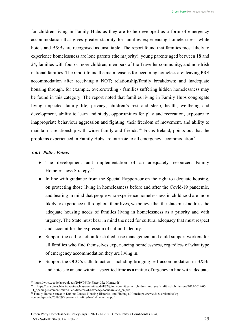for children living in Family Hubs as they are to be developed as a form of emergency accommodation that gives greater stability for families experiencing homelessness, while hotels and B&Bs are recognised as unsuitable. The report found that families most likely to experience homelessness are lone parents (the majority), young parents aged between 18 and 24, families with four or more children, members of the Traveller community, and non-Irish national families. The report found the main reasons for becoming homeless are: leaving PRS accommodation after receiving a NOT; relationship/family breakdown; and inadequate housing through, for example, overcrowding - families suffering hidden homelessness may be found in this category. The report noted that families living in Family Hubs congregate living impacted family life, privacy, children's rest and sleep, health, wellbeing and development, ability to learn and study, opportunities for play and recreation, exposure to inappropriate behaviour aggression and fighting, their freedom of movement, and ability to maintain a relationship with wider family and friends.<sup>54</sup> Focus Ireland, points out that the problems experienced in Family Hubs are intrinsic to all emergency accommodation<sup>55</sup>.

# *3.6.1 Policy Points*

- The development and implementation of an adequately resourced Family Homelessness Strategy.[56](#page-24-2)
- In line with guidance from the Special Rapporteur on the right to adequate housing, on protecting those living in homelessness before and after the Covid-19 pandemic, and bearing in mind that people who experience homelessness in childhood are more likely to experience it throughout their lives, we believe that the state must address the adequate housing needs of families living in homelessness as a priority and with urgency. The State must bear in mind the need for cultural adequacy that must respect and account for the expression of cultural identity.
- Support the call to action for skilled case management and child support workers for all families who find themselves experiencing homelessness, regardless of what type of emergency accommodation they are living in.
- Support the OCO's calls to action, including bringing self-accommodation in B&Bs and hotels to an end within a specified time as a matter of urgency in line with adequate

<span id="page-24-0"></span><sup>54</sup> http[s://www.o](http://www.oco.ie/app/uploads/2019/04/No-Place-Like-Home.pdf)c[o.ie/app/uploads/2019/04/No-Place-Like-Home.pdf](http://www.oco.ie/app/uploads/2019/04/No-Place-Like-Home.pdf)

<span id="page-24-1"></span><sup>55</sup> https://data.oireachtas.ie/ie/oireachtas/committee/dail/32/joint\_committee\_on\_children\_and\_youth\_affairs/submissions/2019/2019-06- 11\_opening-statement-mike-allen-director-of-advocacy-focus-ireland\_en.pdf

<span id="page-24-2"></span><sup>56</sup> Family Homelessness in Dublin: Causes, Housing Histories, and Finding a Homehttp[s://www](http://www.focusireland.ie/wp-).[focusireland.ie/wp](http://www.focusireland.ie/wp-)content/uploads/2019/09/Research-Briefing-No-1-Interactive.pdf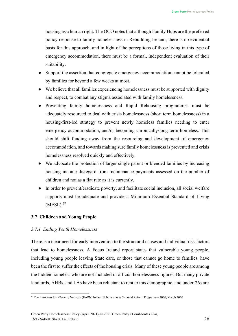housing as a human right. The OCO notes that although Family Hubs are the preferred policy response to family homelessness in Rebuilding Ireland, there is no evidential basis for this approach, and in light of the perceptions of those living in this type of emergency accommodation, there must be a formal, independent evaluation of their suitability.

- Support the assertion that congregate emergency accommodation cannot be tolerated by families for beyond a few weeks at most.
- We believe that all families experiencing homelessness must be supported with dignity and respect, to combat any stigma associated with family homelessness.
- Preventing family homelessness and Rapid Rehousing programmes must be adequately resourced to deal with crisis homelessness (short term homelessness) in a housing-first-led strategy to prevent newly homeless families needing to enter emergency accommodation, and/or becoming chronically/long term homeless. This should shift funding away from the resourcing and development of emergency accommodation, and towards making sure family homelessness is prevented and crisis homelessness resolved quickly and effectively.
- We advocate the protection of larger single parent or blended families by increasing housing income disregard from maintenance payments assessed on the number of children and not as a flat rate as it is currently.
- In order to prevent/eradicate poverty, and facilitate social inclusion, all social welfare supports must be adequate and provide a Minimum Essential Standard of Living  $(MESL).$ <sup>57</sup>

# <span id="page-25-0"></span>**3.7 Children and Young People**

# *3.7.1 Ending Youth Homelessness*

There is a clear need for early intervention to the structural causes and individual risk factors that lead to homelessness. A Focus Ireland report states that vulnerable young people, including young people leaving State care, or those that cannot go home to families, have been the first to suffer the effects of the housing crisis. Many of these young people are among the hidden homeless who are not included in official homelessness figures. But many private landlords, AHBs, and LAs have been reluctant to rent to this demographic, and under-26s are

<span id="page-25-1"></span><sup>57</sup> The European Anti-Poverty Network (EAPN) Ireland Submission to National Reform Programme 2020, March 2020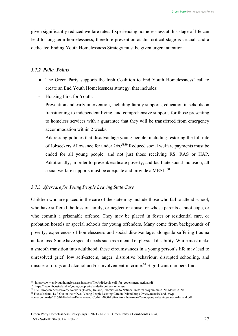given significantly reduced welfare rates. Experiencing homelessness at this stage of life can lead to long-term homelessness, therefore prevention at this critical stage is crucial, and a dedicated Ending Youth Homelessness Strategy must be given urgent attention.

# *3.7.2 Policy Points*

- The Green Party supports the Irish Coalition to End Youth Homelessness' call to create an End Youth Homelessness strategy, that includes:
- Housing First for Youth.
- Prevention and early intervention, including family supports, education in schools on transitioning to independent living, and comprehensive supports for those presenting to homeless services with a guarantee that they will be transferred from emergency accommodation within 2 weeks.
- Addressing policies that disadvantage young people, including restoring the full rate of Jobseekers Allowance for under 26s.<sup>58[59](#page-26-1)</sup> Reduced social welfare payments must be ended for all young people, and not just those receiving RS, RAS or HAP. Additionally, in order to prevent/eradicate poverty, and facilitate social inclusion, all social welfare supports must be adequate and provide a MESL.<sup>60</sup>

# *3.7.3 Aftercare for Young People Leaving State Care*

Children who are placed in the care of the state may include those who fail to attend school, who have suffered the loss of family, or neglect or abuse, or whose parents cannot cope, or who commit a prisonable offence. They may be placed in foster or residential care, or probation hostels or special schools for young offenders. Many come from backgrounds of poverty, experiences of homelessness and social disadvantage, alongside suffering trauma and/or loss. Some have special needs such as a mental or physical disability. While most make a smooth transition into adulthood, these circumstances in a young person's life may lead to unresolved grief, low self-esteem, anger, disruptive behaviour, disrupted schooling, and misuse of drugs and alcohol and/or involvement in crime.<sup>61</sup> Significant numbers find

<span id="page-26-0"></span><sup>58</sup> http[s://www.e](http://www.endyouthhomelessness.ie/assets/files/pdf/iceyh_call_for_government_action.pdf)n[dyouthhomelessness.ie/assets/files/pdf/iceyh\\_call\\_for\\_government\\_action.pdf](http://www.endyouthhomelessness.ie/assets/files/pdf/iceyh_call_for_government_action.pdf)

<span id="page-26-1"></span><sup>59</sup> http[s://www.focusireland.ie/young-people-irelands-forgotten-homeless/](http://www.focusireland.ie/young-people-irelands-forgotten-homeless/)

<span id="page-26-2"></span><sup>60</sup> The European Anti-Poverty Network (EAPN) Ireland, Submission to National Reform programme 2020, March 2020

<span id="page-26-3"></span><sup>61</sup> Focus Ireland, Left Out on their Own, Young People Leaving Care in Ireland http[s://www.focusireland.ie/wp-](http://www.focusireland.ie/wp-)

content/uploads/2016/04/Keheller-Kelleher-and-Corbitt-2000-Left-out-on-their-own-Young-people-leaving-care-in-Ireland.pdf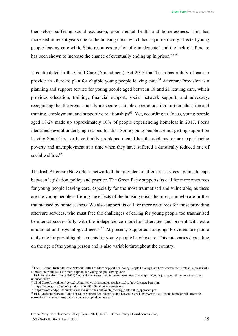themselves suffering social exclusion, poor mental health and homelessness. This has increased in recent years due to the housing crisis which has asymmetrically affected young people leaving care while State resources are 'wholly inadequate' and the lack of aftercare has been shown to increase the chance of eventually ending up in prison.<sup>62</sup> <sup>[63](#page-27-1)</sup>

It is stipulated in the Child Care (Amendment) Act 2015 that Tusla has a duty of care to provide an aftercare plan for eligible young people leaving care.<sup>64</sup> Aftercare Provision is a planning and support service for young people aged between 18 and 21 leaving care, which provides education, training, financial support, social network support, and advocacy, recognising that the greatest needs are secure, suitable accommodation, further education and training, employment, and supportive relationships<sup> $65$ </sup>. Yet, according to Focus, young people aged 18-24 made up approximately 10% of people experiencing homeless in 2017. Focus identified several underlying reasons for this. Some young people are not getting support on leaving State Care, or have family problems, mental health problems, or are experiencing poverty and unemployment at a time when they have suffered a drastically reduced rate of social welfare.<sup>66</sup>

The Irish Aftercare Network - a network of the providers of aftercare services - points to gaps between legislation, policy and practice. The Green Party supports its call for more resources for young people leaving care, especially for the most traumatised and vulnerable, as these are the young people suffering the effects of the housing crisis the most, and who are further traumatised by homelessness. We also support its call for more resources for those providing aftercare services, who must face the challenges of caring for young people too traumatised to interact successfully with the independence model of aftercare, and present with extra emotional and psychological needs.<sup>67</sup> At present, Supported Lodgings Providers are paid a daily rate for providing placements for young people leaving care. This rate varies depending on the age of the young person and is also variable throughout the country.

<span id="page-27-0"></span><sup>62</sup> Focus Ireland, Irish Aftercare Network Calls For More Support For Young People Leaving Care http[s://www.](http://www.focusireland.ie/press/irish-)f[ocusireland.ie/press/irish](http://www.focusireland.ie/press/irish-)aftercare-network-calls-for-more-support-for-young-people-leaving-care/

<span id="page-27-1"></span><sup>63</sup> Irish Penal Reform Trust (2011) Youth Homelessness and imprisonment http[s://www.iprt.ie/youth-justice/youth-homelessness-and](http://www.iprt.ie/youth-justice/youth-homelessness-and-)imprisonment/

<span id="page-27-2"></span><sup>&</sup>lt;sup>64</sup> Child Care (Amendment) Act 2015 <http://www.irishstatutebook.ie/eli/2015/act/45/enacted/en/html>

<span id="page-27-3"></span><sup>65</sup> http[s://www.g](http://www.gov.ie/en/policy-information/86ee99-aftercare-provision/)o[v.ie/en/policy-information/86ee99-aftercare-provision/](http://www.gov.ie/en/policy-information/86ee99-aftercare-provision/)

<span id="page-27-4"></span><sup>66</sup> http[s://www.e](http://www.endyouthhomelessness.ie/assets/files/pdf/youth_housing_partnership_approach.pdf)n[dyouthhomelessness.ie/assets/files/pdf/youth\\_housing\\_partnership\\_approach.pdf](http://www.endyouthhomelessness.ie/assets/files/pdf/youth_housing_partnership_approach.pdf)

<span id="page-27-5"></span><sup>67</sup> Irish Aftercare Network Calls For More Support For Young People Leaving Care http[s://www](http://www.focusireland.ie/press/irish-aftercare-).[focusireland.ie/press/irish-aftercare](http://www.focusireland.ie/press/irish-aftercare-)network-calls-for-more-support-for-young-people-leaving-care/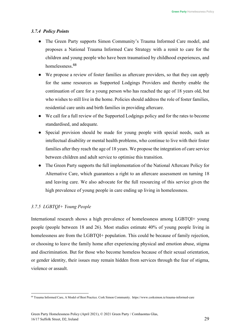# *3.7.4 Policy Points*

- The Green Party supports Simon Community's Trauma Informed Care model, and proposes a National Trauma Informed Care Strategy with a remit to care for the children and young people who have been traumatised by childhood experiences, and homelessness. [68](#page-28-0)
- We propose a review of foster families as aftercare providers, so that they can apply for the same resources as Supported Lodgings Providers and thereby enable the continuation of care for a young person who has reached the age of 18 years old, but who wishes to still live in the home. Policies should address the role of foster families, residential care units and birth families in providing aftercare.
- We call for a full review of the Supported Lodgings policy and for the rates to become standardised, and adequate.
- Special provision should be made for young people with special needs, such as intellectual disability or mental health problems, who continue to live with their foster families after they reach the age of 18 years. We propose the integration of care service between children and adult service to optimise this transition.
- The Green Party supports the full implementation of the National Aftercare Policy for Alternative Care, which guarantees a right to an aftercare assessment on turning 18 and leaving care. We also advocate for the full resourcing of this service given the high prevalence of young people in care ending up living in homelessness.

# *3.7.5 LGBTQI+ Young People*

International research shows a high prevalence of homelessness among LGBTQI+ young people (people between 18 and 26). Most studies estimate 40% of young people living in homelessness are from the LGBTQI+ population. This could be because of family rejection, or choosing to leave the family home after experiencing physical and emotion abuse, stigma and discrimination. But for those who become homeless because of their sexual orientation, or gender identity, their issues may remain hidden from services through the fear of stigma, violence or assault.

<span id="page-28-0"></span><sup>68</sup> Trauma Informed Care, A Model of Best Practice. Cork Simon Community. http[s://www.c](http://www.corksimon.ie/trauma-informed-care)o[rksimon.ie/trauma-informed-care](http://www.corksimon.ie/trauma-informed-care)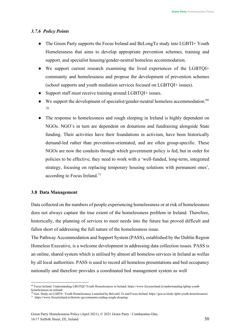#### *3.7.6 Policy Points*

- The Green Party supports the Focus Ireland and BeLongTo study into LGBTI+ Youth Homelessness that aims to develop appropriate prevention schemes, training and support, and specialist housing/gender-neutral homeless accommodation.
- We support current research examining the lived experiences of the LGBTQI+ community and homelessness and propose the development of prevention schemes (school supports and youth mediation services focused on LGBTQI+ issues).
- Support staff must receive training around LGBTQI+ issues.
- We support the development of specialist/gender-neutral homeless accommodation.<sup>[69](#page-29-1)</sup> [70](#page-29-2)
- The response to homelessness and rough sleeping in Ireland is highly dependent on NGOs. NGO's in turn are dependent on donations and fundraising alongside State funding. Their activities have their foundations in activism, have been historically demand-led rather than prevention-orientated, and are often group-specific. These NGOs are now the conduits through which government policy is fed, but in order for policies to be effective, they need to work with a 'well-funded, long-term, integrated strategy, focusing on replacing temporary housing solutions with permanent ones', according to Focus Ireland.<sup>71</sup>

#### <span id="page-29-0"></span>**3.8 Data Management**

Data collected on the numbers of people experiencing homelessness or at risk of homelessness does not always capture the true extent of the homelessness problem in Ireland. Therefore, historically, the planning of services to meet needs into the future has proved difficult and fallen short of addressing the full nature of the homelessness issue.

The Pathway Accommodation and Support System (PASS), established by the Dublin Region Homeless Executive, is a welcome development in addressing data collection issues. PASS is an online, shared system which is utilised by almost all homeless services in Ireland as wellas by all local authorities. PASS is used to record all homeless presentations and bed occupancy nationally and therefore provides a coordinated bed management system as well

<span id="page-29-1"></span><sup>69</sup> Focus Ireland. Understanding LBGTQI+Youth Homelessness in Ireland. http[s://www.focusireland.ie/understanding-lgbtqi-youth](http://www.focusireland.ie/understanding-lgbtqi-youth-)homelessness-in-ireland/

<span id="page-29-3"></span><span id="page-29-2"></span><sup>70</sup> Gcn. Study on LGBTI+ Youth Homelessness Launched by BeLonG To and Focus Ireland. https://gcn.ie/study-lgbti-youth-homelessness/  $^{71}\,$  http[s://www.focusireland.ie/rhetoric-governments-ending-rough-sleeping/](http://www.focusireland.ie/rhetoric-governments-ending-rough-sleeping/)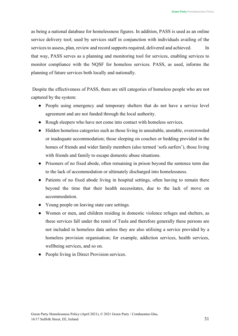as being a national database for homelessness figures. In addition, PASS is used as an online service delivery tool; used by services staff in conjunction with individuals availing of the services to assess, plan, review and record supports required, delivered and achieved. In that way, PASS serves as a planning and monitoring tool for services, enabling services to monitor compliance with the NQSF for homeless services. PASS, as used, informs the planning of future services both locally and nationally.

Despite the effectiveness of PASS, there are still categories of homeless people who are not captured by the system:

- People using emergency and temporary shelters that do not have a service level agreement and are not funded through the local authority.
- Rough sleepers who have not come into contact with homeless services.
- Hidden homeless categories such as those living in unsuitable, unstable, overcrowded or inadequate accommodation; those sleeping on couches or bedding provided in the homes of friends and wider family members (also termed 'sofa surfers'), those living with friends and family to escape domestic abuse situations.
- Prisoners of no fixed abode, often remaining in prison beyond the sentence term due to the lack of accommodation or ultimately discharged into homelessness.
- Patients of no fixed abode living in hospital settings, often having to remain there beyond the time that their health necessitates, due to the lack of move on accommodation.
- Young people on leaving state care settings.
- Women or men, and children residing in domestic violence refuges and shelters, as these services fall under the remit of Tusla and therefore generally these persons are not included in homeless data unless they are also utilising a service provided by a homeless provision organisation; for example, addiction services, health services, wellbeing services, and so on.
- People living in Direct Provision services.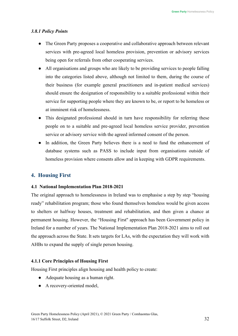#### *3.8.1 Policy Points*

- The Green Party proposes a cooperative and collaborative approach between relevant services with pre-agreed local homeless provision, prevention or advisory services being open for referrals from other cooperating services.
- All organisations and groups who are likely to be providing services to people falling into the categories listed above, although not limited to them, during the course of their business (for example general practitioners and in-patient medical services) should ensure the designation of responsibility to a suitable professional within their service for supporting people where they are known to be, or report to be homeless or at imminent risk of homelessness.
- This designated professional should in turn have responsibility for referring these people on to a suitable and pre-agreed local homeless service provider, prevention service or advisory service with the agreed informed consent of the person.
- In addition, the Green Party believes there is a need to fund the enhancement of database systems such as PASS to include input from organisations outside of homeless provision where consents allow and in keeping with GDPR requirements.

# <span id="page-31-0"></span>**4. Housing First**

#### <span id="page-31-1"></span>**4.1 National Implementation Plan 2018-2021**

The original approach to homelessness in Ireland was to emphasise a step by step "housing ready" rehabilitation program; those who found themselves homeless would be given access to shelters or halfway houses, treatment and rehabilitation, and then given a chance at permanent housing. However, the "Housing First'' approach has been Government policy in Ireland for a number of years. The National Implementation Plan 2018-2021 aims to roll out the approach across the State. It sets targets for LAs, with the expectation they will work with AHBs to expand the supply of single person housing.

# <span id="page-31-2"></span>**4.1.1 Core Principles of Housing First**

Housing First principles align housing and health policy to create:

- Adequate housing as a human right.
- A recovery-oriented model,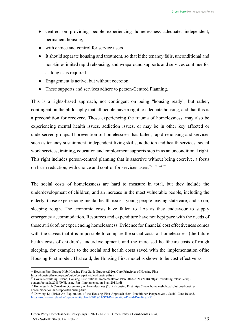- centred on providing people experiencing homelessness adequate, independent, permanent housing,
- with choice and control for service users.
- It should separate housing and treatment, so that if the tenancy fails, unconditional and non-time-limited rapid rehousing, and wraparound supports and services continue for as long as is required.
- Engagement is active, but without coercion.
- These supports and services adhere to person-Centred Planning.

This is a rights-based approach, not contingent on being "housing ready", but rather, contingent on the philosophy that all people have a right to adequate housing, and that this is a precondition for recovery. Those experiencing the trauma of homelessness, may also be experiencing mental health issues, addiction issues, or may be in other key affected or underserved groups. If prevention of homelessness has failed, rapid rehousing and services such as tenancy sustainment, independent living skills, addiction and health services, social work services, training, education and employment supports step in as an unconditional right. This right includes person-centred planning that is assertive without being coercive, a focus on harm reduction, with choice and control for services users.<sup>[72](#page-32-0)</sup> <sup>[73](#page-32-1)</sup> <sup>[74](#page-32-2)</sup> <sup>[75](#page-32-3)</sup>

The social costs of homelessness are hard to measure in total, but they include the underdevelopment of children, and an increase in the most vulnerable people, including the elderly, those experiencing mental health issues, young people leaving state care, and so on, sleeping rough. The economic costs have fallen to LAs as they endeavour to supply emergency accommodation. Resources and expenditure have not kept pace with the needs of those at risk of, or experiencing homelessness. Evidence for financial cost effectiveness comes with the caveat that it is impossible to compare the social costs of homelessness (the future health costs of children's underdevelopment, and the increased healthcare costs of rough sleeping, for example) to the social and health costs saved with the implementation ofthe Housing First model. That said, the Housing First model is shown to be cost effective as

<span id="page-32-0"></span><sup>72</sup> Housing First Europe Hub, Housing First Guide Europe (2020). Core Principles of Housing First

<span id="page-32-1"></span>https://housingfirsteurope.eu/guide/core-principles-housing-first/ <sup>73</sup> Gov.ie Rebuilding Ireland, Housing First National Implementation Plan 2018-2021 (2018) https://rebuildingireland.ie/wp-

<span id="page-32-2"></span>content/uploads/2018/09/Housing-First-Implementation-Plan-2018.pdf <sup>74</sup> Homeless Hub Canadian Observatory on Homelessness (2019) Housing First http[s://www.h](http://www.homelesshub.ca/solutions/housing-)o[melesshub.ca/solutions/housing-](http://www.homelesshub.ca/solutions/housing-)

<span id="page-32-3"></span>accommodation-and-supports/housing-first <sup>75</sup> Dowling D; (2018) An Exploration of the Housing First Approach from Practitioner Perspectives . Social Care Ireland, <https://socialcareireland.ie/wp-content/uploads/2018/11/SCI-Presentation-David-Dowling.pdf>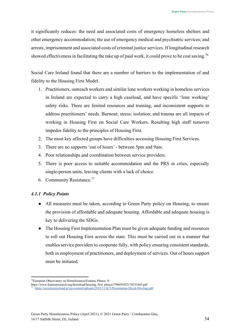it significantly reduces: the need and associated costs of emergency homeless shelters and other emergency accommodation; the use of emergency medical and psychiatric services; and arrests, imprisonment and associated costs of criminal justice services. If longitudinal research showed effectiveness in facilitating the take up of paid work, it could prove to be cost saving.<sup>[76](#page-33-0)</sup>

Social Care Ireland found that there are a number of barriers to the implementation of and fidelity to the Housing First Model.

- 1. Practitioners, outreach workers and similar lone workers working in homeless services in Ireland are expected to carry a high caseload, and have specific 'lone working' safety risks. There are limited resources and training, and inconsistent supports to address practitioners' needs. Burnout; stress; isolation; and trauma are all impacts of working in Housing First on Social Care Workers. Resulting high staff turnover impedes fidelity to the principles of Housing First.
- 2. The most key affected groups have difficulties accessing Housing First Services.
- 3. There are no supports 'out of hours' between 5pm and 9am.
- 4. Poor relationships and coordination between service providers.
- 5. There is poor access to suitable accommodation and the PRS in cities, especially single-person units, leaving clients with a lack of choice.
- 6. Community Resistance[.77](#page-33-1)

# *4.1.1 Policy Points*

- All measures must be taken, according to Green Party policy on Housing, to ensure the provision of affordable and adequate housing. Affordable and adequate housing is key to delivering the SDGs.
- The Housing First Implementation Plan must be given adequate funding and resources to roll out Housing First across the state. This must be carried out in a manner that enables service providers to cooperate fully, with policy ensuring consistent standards, both in employment of practitioners, and deployment of services. Out of hours support must be initiated.

<span id="page-33-0"></span><sup>76</sup>European Observatory on Homelessness/Feantsa, Pleace, N

https:[//www.feantsaresearch.org/download/housing\\_first\\_pleace3790695452176551843.pdf](http://www.feantsaresearch.org/download/housing_first_pleace3790695452176551843.pdf)

<span id="page-33-1"></span><https://socialcareireland.ie/wp-content/uploads/2018/11/SCI-Presentation-David-Dowling.pdf>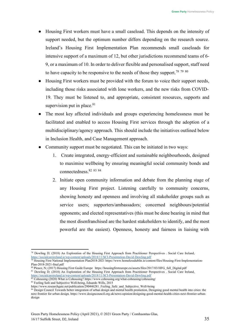- Housing First workers must have a small caseload. This depends on the intensity of support needed, but the optimum number differs depending on the research source. Ireland's Housing First Implementation Plan recommends small caseloads for intensive support of a maximum of 12, but other jurisdictions recommend teams of 6- 9, or a maximum of 10. In order to deliver flexible and personalised support, staff need to have capacity to be responsive to the needs of those they support.<sup>78 [79](#page-34-1) [80](#page-34-2)</sup>
- Housing First workers must be provided with the forum to voice their support needs, including those risks associated with lone workers, and the new risks from COVID-19. They must be listened to, and appropriate, consistent resources, supports and supervision put in place.<sup>81</sup>
- The most key affected individuals and groups experiencing homelessness must be facilitated and enabled to access Housing First services through the adoption of a multidisciplinary/agency approach. This should include the initiatives outlined below in Inclusion Health, and Case Management approach.
- Community support must be negotiated. This can be initiated in two ways:
	- 1. Create integrated, energy-efficient and sustainable neighbourhoods, designed to maximise wellbeing by ensuring meaningful social community bonds and connectedness.[82](#page-34-4) [83](#page-34-5) [84](#page-34-6)
	- 2. Initiate open community information and debate from the planning stage of any Housing First project. Listening carefully to community concerns, showing honesty and openness and involving all stakeholder groups such as service users; supporters/ambassadors; concerned neighbours/potential opponents; and elected representatives (this must be done bearing in mind that the most disenfranchised are the hardest stakeholders to identify, and the most powerful are the easiest). Openness, honesty and fairness in liaising with

<span id="page-34-0"></span><sup>78</sup> Dowling D; (2018) An Exploration of the Housing First Approach from Practitioner Perspectives . Social Care Ireland, <https://socialcareireland.ie/wp-content/uploads/2018/11/SCI-Presentation-David-Dowling.pdf>

<span id="page-34-1"></span><sup>79</sup> Housing First National Implementation Plan2018-2021 http[s://www.h](http://www.homelessdublin.ie/content/files/Housing-First-Implementation-)o[melessdublin.ie/content/files/Housing-First-Implementation-](http://www.homelessdublin.ie/content/files/Housing-First-Implementation-)Plan-2018-2021-final.pdf

<span id="page-34-3"></span><span id="page-34-2"></span><sup>80</sup> Pleace, N; (2017) Housing First Guide Europe https://housingfirsteurope.eu/assets/files/2017/03/HFG\_full\_Digital.pdf <sup>81</sup> Dowling D; (2018) An Exploration of the Housing First Approach from Practitioner Perspectives . Social Care Ireland, <https://socialcareireland.ie/wp-content/uploads/2018/11/SCI-Presentation-David-Dowling.pdf>

<span id="page-34-4"></span><sup>82</sup> Cohousing (2020) What is Cohousing? http[s://www.c](http://www.cohousing.org/what-cohousing/cohousing/)o[housing.org/what-cohousing/cohousing/](http://www.cohousing.org/what-cohousing/cohousing/)

<span id="page-34-5"></span><sup>&</sup>lt;sup>83</sup> Feeling Safe and Subjective Well-being, Eduardo Wills, 2015

http[s://www.r](http://www.researchgate.net/publication/290446281_Feeling_Safe_and_Subjective_Well-being)e[searchgate.net/publication/290446281\\_Feeling\\_Safe\\_and\\_Subjective\\_Well-being](http://www.researchgate.net/publication/290446281_Feeling_Safe_and_Subjective_Well-being)

<span id="page-34-6"></span><sup>&</sup>lt;sup>84</sup> Design Council Towards better integration of urban design and mental health promotion, Designing good mental health into cities: the next frontier for urban design*,* https:[//www.designcouncil.org.uk/news-opinion/designing-good-mental-health-cities-next-frontier-urban](http://www.designcouncil.org.uk/news-opinion/designing-good-mental-health-cities-next-frontier-urban-)design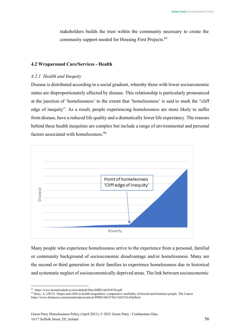stakeholders builds the trust within the community necessary to create the community support needed for Housing First Projects.<sup>[85](#page-35-1)</sup>

# <span id="page-35-0"></span>**4.2 Wraparound Care/Services - Health**

#### *4.2.1 Health and Inequity*

Disease is distributed according to a social gradient, whereby those with lower socioeconomic status are disproportionately affected by disease. This relationship is particularly pronounced at the junction of 'homelessness' to the extent that 'homelessness' is said to mark the "cliff edge of inequity". As a result, people experiencing homelessness are more likely to suffer from disease, have a reduced life quality and a dramatically lower life expectancy. The reasons behind these health inequities are complex but include a range of environmental and personal factors associated with homelessness.<sup>86</sup>



Many people who experience homelessness arrive to the experience from a personal, familial or community background of socioeconomic disadvantage and/or homelessness. Many are the second or third generation in their families to experience homelessness due to historical and systematic neglect of socioeconomically deprived areas. The link between socioeconomic

<span id="page-35-1"></span><sup>85</sup> http[s://www.h](http://www.homelesshub.ca/sites/default/files/SSRN-id1018536.pdf)o[melesshub.ca/sites/default/files/SSRN-id1018536.pdf](http://www.homelesshub.ca/sites/default/files/SSRN-id1018536.pdf)

<span id="page-35-2"></span><sup>86</sup> Story, A. (2013). Slopes and cliffs in health inequalities: comparative morbidity of housed and homeless people. The Lancet http[s://www.thelancet.com/journals/lancet/article/PIIS0140-6736\(13\)62518-0/fulltext](http://www.thelancet.com/journals/lancet/article/PIIS0140-6736(13)62518-0/fulltext)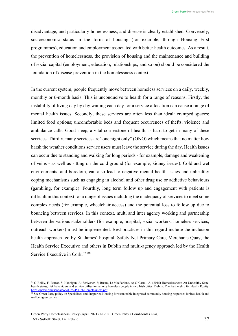disadvantage, and particularly homelessness, and disease is clearly established. Conversely, socioeconomic status in the form of housing (for example, through Housing First programmes), education and employment associated with better health outcomes. As a result, the prevention of homelessness, the provision of housing and the maintenance and building of social capital (employment, education, relationships, and so on) should be considered the foundation of disease prevention in the homelessness context.

In the current system, people frequently move between homeless services on a daily, weekly, monthly or 6-month basis. This is unconducive to health for a range of reasons. Firstly, the instability of living day by day waiting each day for a service allocation can cause a range of mental health issues. Secondly, these services are often less than ideal: cramped spaces; limited food options; uncomfortable beds and frequent occurrences of thefts, violence and ambulance calls. Good sleep, a vital cornerstone of health, is hard to get in many of these services. Thirdly, many services are "one night only" (ONO) which means that no matter how harsh the weather conditions service users must leave the service during the day. Health issues can occur due to standing and walking for long periods - for example, damage and weakening of veins - as well as sitting on the cold ground (for example, kidney issues). Cold and wet environments, and boredom, can also lead to negative mental health issues and unhealthy coping mechanisms such as engaging in alcohol and other drug use or addictive behaviours (gambling, for example). Fourthly, long term follow up and engagement with patients is difficult in this context for a range of issues including the inadequacy of services to meet some complex needs (for example, wheelchair access) and the potential loss to follow up due to bouncing between services. In this context, multi and inter agency working and partnership between the various stakeholders (for example, hospital, social workers, homeless services, outreach workers) must be implemented. Best practices in this regard include the inclusion health approach led by St. James' hospital, Safety Net Primary Care, Merchants Quay, the Health Service Executive and others in Dublin and multi-agency approach led by the Health Service Executive in Cork.<sup>[87](#page-36-0)</sup> [88](#page-36-1)

<span id="page-36-0"></span><sup>87</sup> O'Reilly, F; Barror, S; Hannigan, A; Scrivener, S; Ruane, L; MacFarlane, A; O'Carrol, A; (2015) Homeslessness: An Unhealthy State. health status, risk behaviours and service utilisation among homeless people in two Irish cities. Dublin. The Partnership for Health Equity. <https://www.drugsandalcohol.ie/24541/1/Homelessness.pdf>

<span id="page-36-1"></span><sup>88</sup> See Green Party policy on Specialised and Supported Housing for sustainable integrated community housing responses for best health and wellbeing outcomes.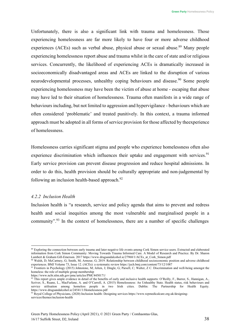Unfortunately, there is also a significant link with trauma and homelessness. Those experiencing homelessness are far more likely to have four or more adverse childhood experiences (ACEs) such as verbal abuse, physical abuse or sexual abuse.<sup>89</sup> Many people experiencing homelessness report abuse and trauma whilst in the care of state and/or religious services. Concurrently, the likelihood of experiencing ACEs is dramatically increased in socioeconomically disadvantaged areas and ACEs are linked to the disruption of various neurodevelopmental processes, unhealthy coping behaviours and disease.<sup>90</sup> Some people experiencing homelessness may have been the victim of abuse at home - escaping that abuse may have led to their situation of homelessness. Trauma often manifests in a wide range of behaviours including, but not limited to aggression and hypervigilance - behaviours which are often considered 'problematic' and treated punitively. In this context, a trauma informed approach must be adopted in all forms of service provision for those affected by theexperience of homelessness.

Homelessness carries significant stigma and people who experience homelessness often also experience discrimination which influences their uptake and engagement with services.<sup>91</sup> Early service provision can prevent disease progression and reduce hospital admissions. In order to do this, health provision should be culturally appropriate and non-judgemental by following an inclusion health-based approach. $92$ 

#### *4.2.2 Inclusion Health*

Inclusion health is "a research, service and policy agenda that aims to prevent and redress health and social inequities among the most vulnerable and marginalised people in a community".<sup>93</sup> In the context of homelessness, there are a number of specific challenges

<span id="page-37-0"></span><sup>&</sup>lt;sup>89</sup> Exploring the connection between early trauma and later negative life events among Cork Simon service users. Extracted and elaborated information from Cork Simon Community: Moving Towards Trauma Informed Care. A Model of Research and Practice. By Dr. Sharon Lambert & Graham Gill-Emerson. 2017 https:[//www.drugsandalcohol.ie/27968/1/ACEs\\_at\\_Cork\\_Simon.pdf](http://www.drugsandalcohol.ie/27968/1/ACEs_at_Cork_Simon.pdf)

<span id="page-37-1"></span><sup>90</sup> Walsh, D; McCartney, G; Smith, M; Armour, G; 2019. Relationship between childhood socioeconomic position and adverse childhood experiences. BMJ Volume 73, Issue 12. (ACEs): a systematic review https://jech.bmj.com/content/73/12/1087

<span id="page-37-2"></span><sup>91</sup> Frontiers in Psychology (2015) Johnstone, M; Jetten, J; Dingle, G; Parsell, C; Walter, Z C. Discrimination and well-being amongst the homeless: the role of multiple group membership

http[s://www.n](http://www.ncbi.nlm.nih.gov/pmc/articles/PMC4450171/)c[bi.nlm.nih.gov/pmc/articles/PMC4450171/](http://www.ncbi.nlm.nih.gov/pmc/articles/PMC4450171/)

<span id="page-37-3"></span><sup>&</sup>lt;sup>92</sup> This report gives ample evidence in detail of the benefits of early and inclusive health supports: O'Reilly, F., Barror, S., Hannigan, A., Scriver, S., Ruane, L., MacFarlane, A. and O'Carroll, A. (2015) Homelessness: An Unhealthy State. Health status, risk behaviours and service utilisation among homeless people in two Irish cities. Dublin: The Partnership for Health Equity. http[s://www.d](http://www.drugsandalcohol.ie/24541/1/Homelessness.pdf)r[ugsandalcohol.ie/24541/1/Homelessness.pdf](http://www.drugsandalcohol.ie/24541/1/Homelessness.pdf)

<span id="page-37-4"></span><sup>93</sup> Royal College of Physicians, (2020) Inclusion health: Designing services http[s://www.r](http://www.rcpmedicalcare.org.uk/designing-)c[pmedicalcare.org.uk/designing](http://www.rcpmedicalcare.org.uk/designing-)services/themes/inclusion-health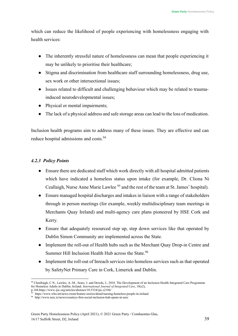which can reduce the likelihood of people experiencing with homelessness engaging with health services:

- The inherently stressful nature of homelessness can mean that people experiencing it may be unlikely to prioritise their healthcare;
- Stigma and discrimination from healthcare staff surrounding homelessness, drug use, sex work or other intersectional issues;
- Issues related to difficult and challenging behaviour which may be related to traumainduced neurodevelopmental issues;
- Physical or mental impairments;
- The lack of a physical address and safe storage areas can lead to the loss of medication.

Inclusion health programs aim to address many of these issues. They are effective and can reduce hospital admissions and costs.<sup>[94](#page-38-0)</sup>

# *4.2.3 Policy Points*

- Ensure there are dedicated staff which work directly with all hospital admitted patients which have indicated a homeless status upon intake (for example, Dr. Cliona Ni Ceallaigh, Nurse Anne Marie Lawlee <sup>[95](#page-38-1)</sup> and the rest of the team at St. James' hospital).
- Ensure managed hospital discharges and intakes in liaison with a range of stakeholders through in person meetings (for example, weekly multidisciplinary team meetings in Merchants Quay Ireland) and multi-agency care plans pioneered by HSE Cork and Kerry.
- Ensure that adequately resourced step up, step down services like that operated by Dublin Simon Community are implemented across the State.
- Implement the roll-out of Health hubs such as the Merchant Quay Drop-in Centre and Summer Hill Inclusion Health Hub across the State.<sup>96</sup>
- Implement the roll-out of Inreach services into homeless services such as that operated by SafetyNet Primary Care in Cork, Limerick and Dublin.

<span id="page-38-0"></span><sup>&</sup>lt;sup>94</sup> Cheallaigh, C.N., Lawlee, A.-M., Sears, J. and Dowds, J., 2018. The Development of an Inclusion Health Integrated Care Programme for Homeless Adults in Dublin, Ireland. *International Journal of Integrated Care*, 18(s2),

p.184.http[s://www.ijic.o](http://www.ijic.org/articles/abstract/10.5334/ijic.s2184/)r[g/articles/abstract/10.5334/ijic.s2184/](http://www.ijic.org/articles/abstract/10.5334/ijic.s2184/)

<span id="page-38-1"></span><sup>95</sup> http[s://www.w](http://www.who.int/news-room/feature-stories/detail/nursing-homeless-people-in-ireland)h[o.int/news-room/feature-stories/detail/nursing-homeless-people-in-ireland](http://www.who.int/news-room/feature-stories/detail/nursing-homeless-people-in-ireland)

<span id="page-38-2"></span><sup>96</sup> <http://www.neic.ie/news/countrys-first-social-inclusion-hub-opens-in-neic>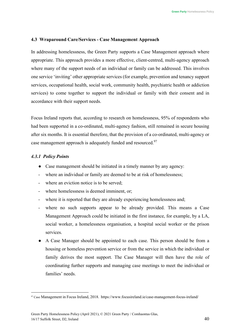# <span id="page-39-0"></span>**4.3 Wraparound Care/Services - Case Management Approach**

In addressing homelessness, the Green Party supports a Case Management approach where appropriate. This approach provides a more effective, client-centred, multi-agency approach where many of the support needs of an individual or family can be addressed. This involves one service 'inviting' other appropriate services (for example, prevention and tenancy support services, occupational health, social work, community health, psychiatric health or addiction services) to come together to support the individual or family with their consent and in accordance with their support needs.

Focus Ireland reports that, according to research on homelessness, 95% of respondents who had been supported in a co-ordinated, multi-agency fashion, still remained in secure housing after six months. It is essential therefore, that the provision of a co-ordinated, multi-agency or case management approach is adequately funded and resourced.<sup>97</sup>

#### *4.3.1 Policy Points*

- Case management should be initiated in a timely manner by any agency:
- where an individual or family are deemed to be at risk of homelessness;
- where an eviction notice is to be served:
- where homelessness is deemed imminent, or;
- where it is reported that they are already experiencing homelessness and;
- where no such supports appear to be already provided. This means a Case Management Approach could be initiated in the first instance, for example, by a LA, social worker, a homelessness organisation, a hospital social worker or the prison services.
- A Case Manager should be appointed to each case. This person should be from a housing or homeless prevention service or from the service in which the individual or family derives the most support. The Case Manager will then have the role of coordinating further supports and managing case meetings to meet the individual or families' needs.

<span id="page-39-1"></span><sup>97</sup> Case Management in Focus Ireland, 2018. https:/[/www.focusireland.ie/case-management-focus-ireland/](http://www.focusireland.ie/case-management-focus-ireland/)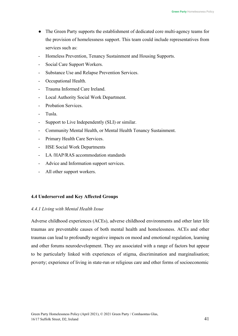- The Green Party supports the establishment of dedicated core multi-agency teams for the provision of homelessness support. This team could include representatives from services such as:
- Homeless Prevention, Tenancy Sustainment and Housing Supports.
- Social Care Support Workers.
- Substance Use and Relapse Prevention Services.
- Occupational Health.
- Trauma Informed Care Ireland.
- Local Authority Social Work Department.
- Probation Services.
- Tusla.
- Support to Live Independently (SLI) or similar.
- Community Mental Health, or Mental Health Tenancy Sustainment.
- Primary Health Care Services.
- HSE Social Work Departments
- LA /HAP/RAS accommodation standards
- Advice and Information support services.
- All other support workers.

# <span id="page-40-0"></span>**4.4 Underserved and Key Affected Groups**

#### *4.4.1 Living with Mental Health Issue*

Adverse childhood experiences (ACEs), adverse childhood environments and other later life traumas are preventable causes of both mental health and homelessness. ACEs and other traumas can lead to profoundly negative impacts on mood and emotional regulation, learning and other forums neurodevelopment. They are associated with a range of factors but appear to be particularly linked with experiences of stigma, discrimination and marginalisation; poverty; experience of living in state-run or religious care and other forms of socioeconomic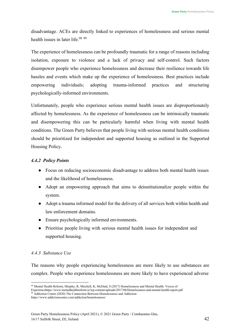disadvantage. ACEs are directly linked to experiences of homelessness and serious mental health issues in later life.<sup>98 [99](#page-41-1)</sup>

The experience of homelessness can be profoundly traumatic for a range of reasons including isolation, exposure to violence and a lack of privacy and self-control. Such factors disempower people who experience homelessness and decrease their resilience towards life hassles and events which make up the experience of homelessness. Best practices include empowering individuals; adopting trauma-informed practices and structuring psychologically-informed environments.

Unfortunately, people who experience serious mental health issues are disproportionately affected by homelessness. As the experience of homelessness can be intrinsically traumatic and disempowering this can be particularly harmful when living with mental health conditions. The Green Party believes that people living with serious mental health conditions should be prioritized for independent and supported housing as outlined in the Supported Housing Policy.

# *4.4.2 Policy Points*

- Focus on reducing socioeconomic disadvantage to address both mental health issues and the likelihood of homelessness.
- Adopt an empowering approach that aims to deinstitutionalize people within the system.
- Adopt a trauma informed model for the delivery of all services both within health and law enforcement domains.
- Ensure psychologically informed environments.
- Prioritise people living with serious mental health issues for independent and supported housing.

# *4.4.3 Substance Use*

The reasons why people experiencing homelessness are more likely to use substances are complex. People who experience homelessness are more likely to have experienced adverse

<span id="page-41-0"></span><sup>98</sup> Mental Health Reform; Murphy, R; Mirchell, K; McDaid, S (2017) Homelessness and Mental Health: Voices of

Experiencehttp[s://www.m](http://www.mentalhealthreform.ie/wp-content/uploads/2017/06/Homelessness-and-mental-health-report.pdf)e[ntalhealthreform.ie/wp-content/uploads/2017/06/Homelessness-and-mental-health-report.pdf](http://www.mentalhealthreform.ie/wp-content/uploads/2017/06/Homelessness-and-mental-health-report.pdf)

<span id="page-41-1"></span><sup>&</sup>lt;sup>99</sup> Addiction Centre (2020) The Connection Between Homelessness and Addiction http[s://www.addictioncenter.com/addiction/homelessness/](http://www.addictioncenter.com/addiction/homelessness/)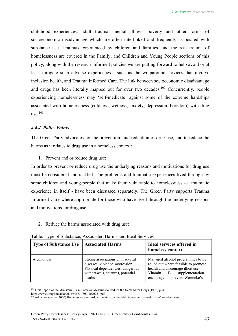childhood experiences, adult trauma, mental illness, poverty and other forms of socioeconomic disadvantage which are often interlinked and frequently associated with substance use. Traumas experienced by children and families, and the real trauma of homelessness are covered in the Family, and Children and Young People sections of this policy, along with the research informed policies we are putting forward to help avoid or at least mitigate such adverse experiences - such as the wraparound services that involve inclusion health, and Trauma Informed Care. The link between socioeconomic disadvantage and drugs has been literally mapped out for over two decades.<sup>100</sup> Concurrently, people experiencing homelessness may 'self-medicate' against some of the extreme hardships associated with homelessness (coldness, wetness, anxiety, depression, boredom) with drug use[.101](#page-42-1)

# *4.4.4 Policy Points*

The Green Party advocates for the prevention, and reduction of drug use, and to reduce the harms as it relates to drug use in a homeless context:

1. Prevent and or reduce drug use:

In order to prevent or reduce drug use the underlying reasons and motivations for drug use must be considered and tackled. The problems and traumatic experiences lived through by some children and young people that make them vulnerable to homelessness - a traumatic experience in itself - have been discussed separately. The Green Party supports Trauma Informed Care where appropriate for those who have lived through the underlying reasons and motivations for drug use.

2. Reduce the harms associated with drug use:

| <b>Type of Substance Use</b> | <b>Associated Harms</b>                                                                                                                                | Ideal services offered in<br>homeless context                                                                                                                                       |
|------------------------------|--------------------------------------------------------------------------------------------------------------------------------------------------------|-------------------------------------------------------------------------------------------------------------------------------------------------------------------------------------|
| Alcohol use                  | Strong associations with several<br>diseases, violence, aggression.<br>Physical dependencies, dangerous<br>withdrawals, seizures, potential<br>deaths. | Managed alcohol programmes to be<br>rolled out where feasible to promote<br>health and discourage illicit use.<br>supplementation<br>Vitamin B<br>encouraged to prevent Wernicke's. |

<span id="page-42-0"></span><sup>&</sup>lt;sup>100</sup> First Report of the Ministerial Task Force on Measures to Reduce the Demand for Drugs (1996) p. 40.

http[s://www.d](http://www.drugsandalcohol.ie/5058/1/309-3090251.pdf)r[ugsandalcohol.ie/5058/1/309-3090251.pdf](http://www.drugsandalcohol.ie/5058/1/309-3090251.pdf)

<span id="page-42-1"></span><sup>&</sup>lt;sup>101</sup> Addiction Centre (2020) Homelessness and Addiction http[s://www.a](http://www.addictioncenter.com/addiction/homelessness/)d[dictioncenter.com/addiction/homelessness/](http://www.addictioncenter.com/addiction/homelessness/)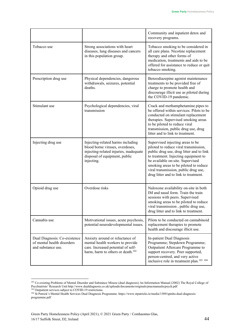|                                                                                  |                                                                                                                                                               | Community and inpatient detox and<br>recovery programs.                                                                                                                                                                                                                                                                     |
|----------------------------------------------------------------------------------|---------------------------------------------------------------------------------------------------------------------------------------------------------------|-----------------------------------------------------------------------------------------------------------------------------------------------------------------------------------------------------------------------------------------------------------------------------------------------------------------------------|
| Tobacco use                                                                      | Strong associations with heart<br>diseases, lung diseases and cancers<br>in this population group.                                                            | Tobacco smoking to be considered in<br>all care plans. Nicotine replacement<br>therapy and other forms of<br>medication, treatments and aids to be<br>offered for assistance to reduce or quit<br>tobacco smoking.                                                                                                          |
| Prescription drug use                                                            | Physical dependencies, dangerous<br>withdrawals, seizures, potential<br>deaths.                                                                               | Benzodiazepine agonist maintenance<br>treatments to be provided free of<br>charge to promote health and<br>discourage illicit use as piloted during<br>the COVID-19 pandemic.                                                                                                                                               |
| Stimulant use                                                                    | Psychological dependencies, viral<br>transmission                                                                                                             | Crack and methamphetamine pipes to<br>be offered within services. Pilots to be<br>conducted on stimulant replacement<br>therapies. Supervised smoking areas<br>to be piloted to reduce viral<br>transmission, public drug use, drug<br>litter and to link to treatment.                                                     |
| Injecting drug use                                                               | Injecting-related harms including<br>blood borne viruses, overdoses,<br>injecting-related injuries, inadequate<br>disposal of equipment, public<br>injecting. | Supervised injecting areas to be<br>piloted to reduce viral transmission,<br>public drug use, drug litter and to link<br>to treatment. Injecting equipment to<br>be available on-site. Supervised<br>smoking areas to be piloted to reduce<br>viral transmission, public drug use,<br>drug litter and to link to treatment. |
| Opioid drug use                                                                  | Overdose risks                                                                                                                                                | Naloxone availability on-site in both<br>IM and nasal form. Train the train<br>sessions with peers. Supervised<br>smoking areas to be piloted to reduce<br>viral transmission, public drug use,<br>drug litter and to link to treatment.                                                                                    |
| Cannabis use                                                                     | Motivational issues, acute psychosis,<br>potential neurodevelopmental issues.                                                                                 | Pilots to be conducted on cannabinoid<br>replacement therapies to promote<br>health and discourage illicit use.                                                                                                                                                                                                             |
| Dual Diagnosis: Co-existence<br>of mental health disorders<br>and substance use. | Anxiety around or reluctance of<br>mental health workers to provide<br>care. Increased potential of self-<br>harm, harm to others or death. <sup>102</sup>    | In-patient Dual Diagnosis<br>Programme; Stepdown Programme;<br>Outpatient Aftercare Programme to<br>support recovery. Peer supported,<br>person-centred, and very active<br>inclusive role in treatment plan. <sup>103</sup> <sup>104</sup>                                                                                 |

<span id="page-43-0"></span><sup>&</sup>lt;sup>102</sup> Co-existing Problems of Mental Disorder and Substance Misuse (dual diagnosis) An Information Manual (2002) The Royal College of Psychiatrists' Research Unit <http://www.dualdiagnosis.co.uk/uploads/documents/originals/pracmanualrcpsych.pdf> <sup>103</sup> Outpatient services subject to COVID-19 restrictions.

<span id="page-43-2"></span><span id="page-43-1"></span><sup>&</sup>lt;sup>104</sup> St Patrick's Mental Health Services Dual Diagnosis Programme. https:[//www.stpatricks.ie/media/1589/spmhs-dual-diagnosis](http://www.stpatricks.ie/media/1589/spmhs-dual-diagnosis-)programme.pdf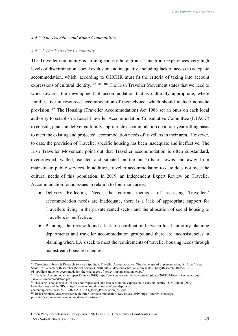# *4.4.5 The Traveller and Roma Communities*

# *4.4.5.1 The Traveller Community*

The Traveller community is an indigenous ethnic group. This group experiences very high levels of discrimination, social exclusion and inequality, including lack of access to adequate accommodation, which, according to OHCHR must fit the criteria of taking into account expressions of cultural identity.<sup>105 [106](#page-44-1)</sup> [107](#page-44-2) The Irish Traveller Movement states that we need to work towards the development of accommodation that is culturally appropriate, where families live in resourced accommodation of their choice, which should include nomadic provision.[108](#page-44-3) The Housing (Traveller Accommodation) Act 1988 set an onus on each local authority to establish a Local Traveller Accommodation Consultative Committee (LTACC) to consult, plan and deliver culturally appropriate accommodation on a four year rolling basis to meet the existing and projected accommodation needs of travellers in their area. However, to date, the provision of Traveller specific housing has been inadequate and ineffective. The Irish Traveller Movement point out that Traveller accommodation is often substandard, overcrowded, walled, isolated and situated on the outskirts of towns and away from mainstream public services. In addition, traveller accommodation to date does not meet the cultural needs of this population. In 2019, an Independent Expert Review on Traveller Accommodation found issues in relation to four main areas;

- Delivery Reflecting Need: the current methods of assessing Travellers' accommodation needs are inadequate, there is a lack of appropriate support for Travellers living in the private rented sector and the allocation of social housing to Travellers is ineffective.
- Planning: the review found a lack of coordination between local authority planning departments and traveller accommodation groups and there are inconsistencies in planning where LA's seek to meet the requirements of traveller housing needs through mainstream housing schemes.

<span id="page-44-0"></span><sup>&</sup>lt;sup>105</sup> Oireachtas Library & Research Service | Spotlight, Traveller Accommodation: The challenges of implementation, Dr. Anna Visser Senior Parliamentary Researcher (Social Science), 2018. https://data.oireachtas.ie/ie/oireachtas/libraryResearch/2018/2018-10- 01\_spotlight-traveller-accommodation-the-challenges-of-policy-implementation\_en.pdf

<span id="page-44-1"></span><sup>106</sup> Traveller Accommodation Expert Review (2019) http[s://www.p](http://www.paveepoint.ie/wp-content/uploads/2019/07/Expert-Review-Group-)a[veepoint.ie/wp-content/uploads/2019/07/Expert-Review-Group-](http://www.paveepoint.ie/wp-content/uploads/2019/07/Expert-Review-Group-)Traveller-Accommodation.pdf

<span id="page-44-2"></span><sup>&</sup>lt;sup>107</sup> 'Housing is not adequate if it does not respect and take into account the expression of cultural identity.' UN Habitat (2019) Homelessness and the SDGs http[s://www.un.org/development/desa/dspd/wp-](http://www.un.org/development/desa/dspd/wp-)

<span id="page-44-3"></span>content/uploads/sites/22/2019/07/SALCEDO\_Jesus\_Presentation\_2-1.pdf <sup>108</sup> Irish Travellers Movement/Strategic Priorities/Accommodation/Key Issues, 2019 https://itmtrav.ie/strategic-

priorities/accommodation/accommodation-key-issues/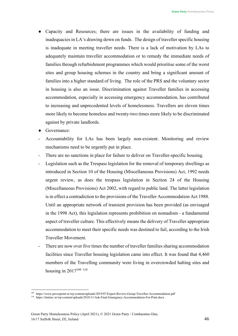- Capacity and Resources; there are issues in the availability of funding and inadequacies in LA's drawing down on funds. The design of traveller specific housing is inadequate in meeting traveller needs. There is a lack of motivation by LAs to adequately maintain traveller accommodation or to remedy the immediate needs of families through refurbishment programmes which would prioritise some of the worst sites and group housing schemes in the country and bring a significant amount of families into a higher standard of living. The role of the PRS and the voluntary sector in housing is also an issue. Discrimination against Traveller families in accessing accommodation, especially in accessing emergency accommodation, has contributed to increasing and unprecedented levels of homelessness. Travellers are eleven times more likely to become homeless and twenty-two times more likely to be discriminated against by private landlords.
- Governance:
- Accountability for LAs has been largely non-existent. Monitoring and review mechanisms need to be urgently put in place.
- There are no sanctions in place for failure to deliver on Traveller-specific housing.
- Legislation such as the Trespass legislation for the removal of temporary dwellings as introduced in Section 10 of the Housing (Miscellaneous Provisions) Act, 1992 needs urgent review, as does the trespass legislation in Section 24 of the Housing (Miscellaneous Provisions) Act 2002, with regard to public land. The latter legislation is in effect a contradiction to the provisions of the Traveller Accommodation Act 1988. Until an appropriate network of transient provision has been provided (as envisaged in the 1998 Act), this legislation represents prohibition on nomadism - a fundamental aspect of traveller culture. This effectively means the delivery of Traveller appropriate accommodation to meet their specific needs was destined to fail, according to the Irish Traveller Movement.
- There are now over five times the number of traveller families sharing accommodation facilities since Traveller housing legislation came into effect. It was found that 4,460 members of the Travelling community were living in overcrowded halting sites and housing in  $2017^{109}$  [110](#page-45-1)

<span id="page-45-0"></span><sup>109</sup> http[s://www.p](http://www.paveepoint.ie/wp-content/uploads/2019/07/Expert-Review-Group-Traveller-Accommodation.pdf)a[veepoint.ie/wp-content/uploads/2019/07/Expert-Review-Group-Traveller-Accommodation.pdf](http://www.paveepoint.ie/wp-content/uploads/2019/07/Expert-Review-Group-Traveller-Accommodation.pdf)

<span id="page-45-1"></span><sup>110</sup> https://itmtrav.ie/wp-content/uploads/2018/11/Ask-Final-Emergency-Accommodation-For-Print.docx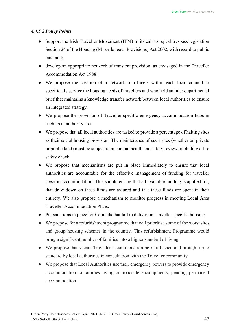#### *4.4.5.2 Policy Points*

- Support the Irish Traveller Movement (ITM) in its call to repeal trespass legislation Section 24 of the Housing (Miscellaneous Provisions) Act 2002, with regard to public land and;
- develop an appropriate network of transient provision, as envisaged in the Traveller Accommodation Act 1988.
- We propose the creation of a network of officers within each local council to specifically service the housing needs of travellers and who hold an inter departmental brief that maintains a knowledge transfer network between local authorities to ensure an integrated strategy.
- We propose the provision of Traveller-specific emergency accommodation hubs in each local authority area.
- We propose that all local authorities are tasked to provide a percentage of halting sites as their social housing provision. The maintenance of such sites (whether on private or public land) must be subject to an annual health and safety review, including a fire safety check.
- We propose that mechanisms are put in place immediately to ensure that local authorities are accountable for the effective management of funding for traveller specific accommodation. This should ensure that all available funding is applied for, that draw-down on these funds are assured and that these funds are spent in their entirety. We also propose a mechanism to monitor progress in meeting Local Area Traveller Accommodation Plans.
- Put sanctions in place for Councils that fail to deliver on Traveller-specific housing.
- We propose for a refurbishment programme that will prioritise some of the worst sites and group housing schemes in the country. This refurbishment Programme would bring a significant number of families into a higher standard of living.
- We propose that vacant Traveller accommodation be refurbished and brought up to standard by local authorities in consultation with the Traveller community.
- We propose that Local Authorities use their emergency powers to provide emergency accommodation to families living on roadside encampments, pending permanent accommodation.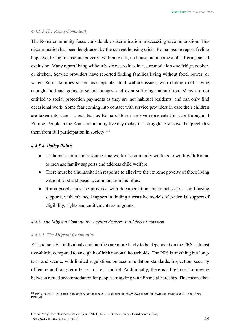#### *4.4.5.3 The Roma Community*

The Roma community faces considerable discrimination in accessing accommodation. This discrimination has been heightened by the current housing crisis. Roma people report feeling hopeless, living in absolute poverty, with no work, no house, no income and suffering social exclusion. Many report living without basic necessities in accommodation - no fridge, cooker, or kitchen. Service providers have reported finding families living without food, power, or water. Roma families suffer unacceptable child welfare issues, with children not having enough food and going to school hungry, and even suffering malnutrition. Many are not entitled to social protection payments as they are not habitual residents, and can only find occasional work. Some fear coming into contact with service providers in case their children are taken into care - a real fear as Roma children are overrepresented in care throughout Europe. People in the Roma community live day to day in a struggle to survive that precludes them from full participation in society.<sup>111</sup>

# *4.4.5.4 Policy Points*

- Tusla must train and resource a network of community workers to work with Roma, to increase family supports and address child welfare.
- There must be a humanitarian response to alleviate the extreme poverty of those living without food and basic accommodation facilities.
- Roma people must be provided with documentation for homelessness and housing supports, with enhanced support in finding alternative models of evidential support of eligibility, rights and entitlements as migrants.

#### *4.4.6 The Migrant Community, Asylum Seekers and Direct Provision*

#### *4.4.6.1 The Migrant Community*

EU and non-EU individuals and families are more likely to be dependent on the PRS - almost two-thirds, compared to an eighth of Irish national households. The PRS is anything but longterm and secure, with limited regulations on accommodation standards, inspection, security of tenure and long-term leases, or rent control. Additionally, there is a high cost to moving between rented accommodation for people struggling with financial hardship. This means that

<span id="page-47-0"></span><sup>111</sup> Pavee Point (2015) Roma in Ireland: A National Needs Assessment http[s://www.p](http://www.paveepoint.ie/wp-content/uploads/2015/04/RNA-)a[veepoint.ie/wp-content/uploads/2015/04/RNA-](http://www.paveepoint.ie/wp-content/uploads/2015/04/RNA-)PDF.pdf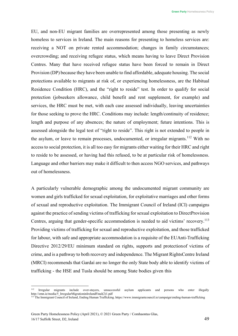EU, and non-EU migrant families are overrepresented among those presenting as newly homeless to services in Ireland. The main reasons for presenting to homeless services are: receiving a NOT on private rented accommodation; changes in family circumstances; overcrowding; and receiving refugee status, which means having to leave Direct Provision Centres. Many that have received refugee status have been forced to remain in Direct Provision (DP) because they have been unable to find affordable, adequate housing. The social protections available to migrants at risk of, or experiencing homelessness, are the Habitual Residence Condition (HRC), and the "right to reside" test. In order to qualify for social protection (jobseekers allowance, child benefit and rent supplement, for example) and services, the HRC must be met, with each case assessed individually, leaving uncertainties for those seeking to prove the HRC. Conditions may include: length/continuity of residence; length and purpose of any absences; the nature of employment; future intentions. This is assessed alongside the legal test of "right to reside". This right is not extended to people in the asylum, or leave to remain processes, undocumented, or irregular migrants.<sup>112</sup> With no access to social protection, it is all too easy for migrants either waiting for their HRC and right to reside to be assessed, or having had this refused, to be at particular risk of homelessness. Language and other barriers may make it difficult to then access NGO services, and pathways out of homelessness.

A particularly vulnerable demographic among the undocumented migrant community are women and girls trafficked for sexual exploitation, for exploitative marriages and other forms of sexual and reproductive exploitation. The Immigrant Council of Ireland (ICI) campaigns against the practice of sending victims of trafficking for sexual exploitation to DirectProvision Centres, arguing that gender-specific accommodation is needed to aid victims' recovery.<sup>113</sup> Providing victims of trafficking for sexual and reproductive exploitation, and those trafficked for labour, with safe and appropriate accommodation is a requisite of the EUAnti-Trafficking Directive 2012/29/EU minimum standard on rights, supports and protectionof victims of crime, and is a pathway to both recovery and independence. The Migrant RightsCentre Ireland (MRCI) recommends that Gardaí are no longer the only State body able to identify victims of trafficking - the HSE and Tusla should be among State bodies given this

<span id="page-48-0"></span><sup>112</sup> Irregular migrants include over-stayers, unsuccessful asylum applicants and persons who enter illegally [http://emn.ie/media/5\\_IrregularMigrationinIrelandFinal\(2\)1.pdf](http://emn.ie/media/5_IrregularMigrationinIrelandFinal(2)1.pdf)

<span id="page-48-1"></span><sup>113</sup> The Immigrant Council of Ireland, Ending Human Trafficking. http[s://www.immigrantcouncil.ie/campaign/ending-human-trafficking](http://www.immigrantcouncil.ie/campaign/ending-human-trafficking)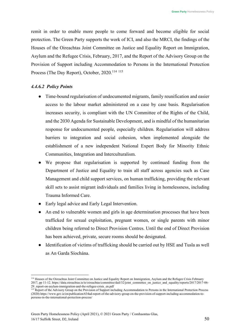remit in order to enable more people to come forward and become eligible for social protection. The Green Party supports the work of ICI, and also the MRCI, the findings of the Houses of the Oireachtas Joint Committee on Justice and Equality Report on Immigration, Asylum and the Refugee Crisis, February, 2017, and the Report of the Advisory Group on the Provision of Support including Accommodation to Persons in the International Protection Process (The Day Report), October, 2020.<sup>114 [115](#page-49-1)</sup>

# *4.4.6.2 Policy Points*

- Time-bound regularisation of undocumented migrants, family reunification and easier access to the labour market administered on a case by case basis. Regularisation increases security, is compliant with the UN Committee of the Rights of the Child, and the 2030 Agenda for Sustainable Development, and is mindful of the humanitarian response for undocumented people, especially children. Regularisation will address barriers to integration and social cohesion, when implemented alongside the establishment of a new independent National Expert Body for Minority Ethnic Communities, Integration and Interculturalism.
- We propose that regularisation is supported by continued funding from the Department of Justice and Equality to train all staff across agencies such as Case Management and child support services, on human trafficking, providing the relevant skill sets to assist migrant individuals and families living in homelessness, including Trauma Informed Care.
- Early legal advice and Early Legal Intervention.
- An end to vulnerable women and girls in age determination processes that have been trafficked for sexual exploitation, pregnant women, or single parents with minor children being referred to Direct Provision Centres. Until the end of Direct Provision has been achieved, private, secure rooms should be designated.
- Identification of victims of trafficking should be carried out by HSE and Tusla as well as An Garda Síochána.

<span id="page-49-0"></span><sup>114</sup> Houses of the Oireachtas Joint Committee on Justice and Equality Report on Immigration, Asylum and the Refugee Crisis February 2017, pp 11-12. https://data.oireachtas.ie/ie/oireachtas/committee/dail/32/joint\_committee\_on\_justice\_and\_equality/reports/2017/2017-06-29\_report-on-asylum-immigration-and-the-refugee-crisis\_en.pdf

<span id="page-49-1"></span><sup>&</sup>lt;sup>115</sup> Report of the Advisory Group on the Provision of Support including Accommodation to Persons in the International Protection Process (2020) http[s://www.g](http://www.gov.ie/en/publication/634ad-report-of-the-advisory-group-on-the-provision-of-support-including-accommodation-to-)o[v.ie/en/publication/634ad-report-of-the-advisory-group-on-the-provision-of-support-including-accommodation-to](http://www.gov.ie/en/publication/634ad-report-of-the-advisory-group-on-the-provision-of-support-including-accommodation-to-)persons-in-the-international-protection-process/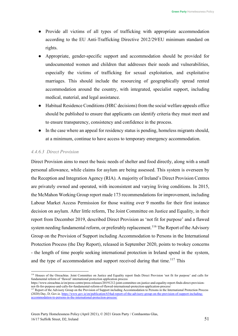- Provide all victims of all types of trafficking with appropriate accommodation according to the EU Anti-Trafficking Directive 2012/29/EU minimum standard on rights.
- Appropriate, gender-specific support and accommodation should be provided for undocumented women and children that addresses their needs and vulnerabilities, especially the victims of trafficking for sexual exploitation, and exploitative marriages. This should include the resourcing of geographically spread rented accommodation around the country, with integrated, specialist support, including medical, material, and legal assistance.
- Habitual Residence Conditions (HRC decisions) from the social welfare appeals office should be published to ensure that applicants can identify criteria they must meet and to ensure transparency, consistency and confidence in the process.
- In the case where an appeal for residency status is pending, homeless migrants should, at a minimum, continue to have access to temporary emergency accommodation.

# *4.4.6.3 Direct Provision*

Direct Provision aims to meet the basic needs of shelter and food directly, along with a small personal allowance, while claims for asylum are being assessed. This system is overseen by the Reception and Integration Agency (RIA). A majority of Ireland's Direct Provision Centres are privately owned and operated, with inconsistent and varying living conditions. In 2015, the McMahon Working Group report made 173 recommendations for improvement, including Labour Market Access Permission for those waiting over 9 months for their first instance decision on asylum. After little reform, The Joint Committee on Justice and Equality, in their report from December 2019, described Direct Provision as 'not fit for purpose' and a flawed system needing fundamental reform, or preferably replacement.<sup>116</sup> The Report of the Advisory Group on the Provision of Support including Accommodation to Persons in the International Protection Process (the Day Report), released in September 2020, points to twokey concerns - the length of time people seeking international protection in Ireland spend in the system, and the type of accommodation and support received during that time.<sup>[117](#page-50-1)</sup> This

<span id="page-50-0"></span><sup>&</sup>lt;sup>116</sup> Houses of the Oireachtas. Joint Committee on Justice and Equality report finds Direct Provision 'not fit for purpose' and calls for fundamental reform of 'flawed' international protection application process

http[s://www.o](http://www.oireachtas.ie/en/press-centre/press-releases/20191212-joint-committee-on-justice-and-equality-report-finds-direct-provision-)i[reachtas.ie/en/press-centre/press-releases/20191212-joint-committee-on-justice-and-equality-report-finds-direct-provision](http://www.oireachtas.ie/en/press-centre/press-releases/20191212-joint-committee-on-justice-and-equality-report-finds-direct-provision-)not-fit-for-purpose-and-calls-for-fundamental-reform-of-flawed-international-protection-application-process/

<span id="page-50-1"></span><sup>&</sup>lt;sup>117</sup> Report of the Advisory Group on the Provision of Support including Accommodation to Persons in the International Protection Process (2020) Day, D; Gov.ie. [https://www.gov.ie/en/publication/634ad-report-of-the-advisory-group-on-the-provision-of-support-including](https://www.gov.ie/en/publication/634ad-report-of-the-advisory-group-on-the-provision-of-support-including-accommodation-to-persons-in-the-international-protection-process/)[accommodation-to-persons-in-the-international-protection-process/](https://www.gov.ie/en/publication/634ad-report-of-the-advisory-group-on-the-provision-of-support-including-accommodation-to-persons-in-the-international-protection-process/)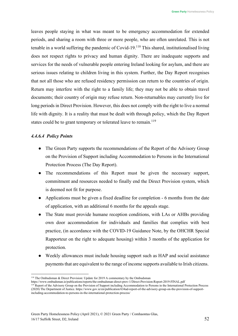leaves people staying in what was meant to be emergency accommodation for extended periods, and sharing a room with three or more people, who are often unrelated. This is not tenable in a world suffering the pandemic of Covid-19.<sup>118</sup> This shared, institutionalised living does not respect rights to privacy and human dignity. There are inadequate supports and services for the needs of vulnerable people entering Ireland looking for asylum, and there are serious issues relating to children living in this system. Further, the Day Report recognises that not all those who are refused residency permission can return to the countries of origin. Return may interfere with the right to a family life; they may not be able to obtain travel documents; their country of origin may refuse return. Non-returnables may currently live for long periods in Direct Provision. However, this does not comply with the right to live a normal life with dignity. It is a reality that must be dealt with through policy, which the Day Report states could be to grant temporary or tolerated leave to remain.<sup>119</sup>

# *4.4.6.4 Policy Points*

- The Green Party supports the recommendations of the Report of the Advisory Group on the Provision of Support including Accommodation to Persons in the International Protection Process (The Day Report).
- The recommendations of this Report must be given the necessary support, commitment and resources needed to finally end the Direct Provision system, which is deemed not fit for purpose.
- Applications must be given a fixed deadline for completion 6 months from the date of application, with an additional 6 months for the appeals stage.
- The State must provide humane reception conditions, with LAs or AHBs providing own door accommodation for individuals and families that complies with best practice, (in accordance with the COVID-19 Guidance Note, by the OHCHR Special Rapporteur on the right to adequate housing) within 3 months of the application for protection.
- Weekly allowances must include housing support such as HAP and social assistance payments that are equivalent to the range of income supports available to Irish citizens.

<span id="page-51-0"></span><sup>118</sup> The Ombudsman & Direct Provision: Update for 2019 A commentary by the Ombudsman

http[s://www.o](http://www.ombudsman.ie/publications/reports/the-ombudsman-direct-prov-1/Direct-Provision-Report-2019-FINAL.pdf)m[budsman.ie/publications/reports/the-ombudsman-direct-prov-1/Direct-Provision-Report-2019-FINAL.pdf](http://www.ombudsman.ie/publications/reports/the-ombudsman-direct-prov-1/Direct-Provision-Report-2019-FINAL.pdf)

<span id="page-51-1"></span><sup>&</sup>lt;sup>119</sup> Report of the Advisory Group on the Provision of Support including Accommodation to Persons in the International Protection Process (2020) The Department of Justice. http[s://www.g](http://www.gov.ie/en/publication/634ad-report-of-the-advisory-group-on-the-provision-of-support-)o[v.ie/en/publication/634ad-report-of-the-advisory-group-on-the-provision-of-support-](http://www.gov.ie/en/publication/634ad-report-of-the-advisory-group-on-the-provision-of-support-)

including-accommodation-to-persons-in-the-international-protection-process/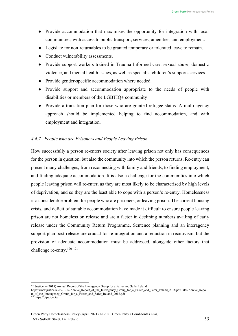- Provide accommodation that maximises the opportunity for integration with local communities, with access to public transport, services, amenities, and employment.
- Legislate for non-returnables to be granted temporary or tolerated leave to remain.
- Conduct vulnerability assessments.
- Provide support workers trained in Trauma Informed care, sexual abuse, domestic violence, and mental health issues, as well as specialist children's supports services.
- Provide gender-specific accommodation where needed.
- Provide support and accommodation appropriate to the needs of people with disabilities or members of the LGBTIQ+ community
- Provide a transition plan for those who are granted refugee status. A multi-agency approach should be implemented helping to find accommodation, and with employment and integration.

# *4.4.7 People who are Prisoners and People Leaving Prison*

How successfully a person re-enters society after leaving prison not only has consequences for the person in question, but also the community into which the person returns. Re-entry can present many challenges, from reconnecting with family and friends, to finding employment, and finding adequate accommodation. It is also a challenge for the communities into which people leaving prison will re-enter, as they are most likely to be characterised by high levels of deprivation, and so they are the least able to cope with a person's re-entry. Homelessness is a considerable problem for people who are prisoners, or leaving prison. The current housing crisis, and deficit of suitable accommodation have made it difficult to ensure people leaving prison are not homeless on release and are a factor in declining numbers availing of early release under the Community Return Programme. Sentence planning and an interagency support plan post-release are crucial for re-integration and a reduction in recidivism, but the provision of adequate accommodation must be addressed, alongside other factors that challenge re-entry.<sup>120</sup><sup>[121](#page-52-1)</sup>

<span id="page-52-0"></span><sup>120</sup> Justice.ie (2018) Annual Report of the Interagency Group for a Fairer and Safer Ireland

[http://www.justice.ie/en/JELR/Annual\\_Report\\_of\\_the\\_Interagency\\_Group\\_for\\_a\\_Fairer\\_and\\_Safer\\_Ireland\\_2018.pdf/Files/Annual\\_Repo](http://www.justice.ie/en/JELR/Annual_Report_of_the_Interagency_Group_for_a_Fairer_and_Safer_Ireland_2018.pdf/Files/Annual_Repo) rt of the Interagency Group for a Fairer and Safer Ireland  $2018.$ pdf

<span id="page-52-1"></span> $12\overline{1}$  https://pips.iprt.ie/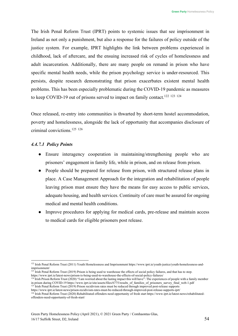The Irish Penal Reform Trust (IPRT) points to systemic issues that see imprisonment in Ireland as not only a punishment, but also a response for the failures of policy outside of the justice system. For example, IPRT highlights the link between problems experienced in childhood, lack of aftercare, and the ensuing increased risk of cycles of homelessness and adult incarceration. Additionally, there are many people on remand in prison who have specific mental health needs, while the prison psychology service is under-resourced. This persists, despite research demonstrating that prison exacerbates existent mental health problems. This has been especially problematic during the COVID-19 pandemic as measures to keep COVID-19 out of prisons served to impact on family contact.<sup>122 [123](#page-53-1) [124](#page-53-2)</sup>

Once released, re-entry into communities is thwarted by short-term hostel accommodation, poverty and homelessness, alongside the lack of opportunity that accompanies disclosure of criminal convictions.[125](#page-53-3) [126](#page-53-4)

#### *4.4.7.1 Policy Points*

- Ensure interagency cooperation in maintaining/strengthening people who are prisoners' engagement in family life, while in prison, and on release from prison.
- People should be prepared for release from prison, with structured release plans in place. A Case Management Approach for the integration and rehabilitation of people leaving prison must ensure they have the means for easy access to public services, adequate housing, and health services. Continuity of care must be assured for ongoing medical and mental health conditions.
- Improve procedures for applying for medical cards, pre-release and maintain access to medical cards for eligible prisoners post release.

<span id="page-53-1"></span><sup>123</sup> Irish Penal Reform Trust (2019) Prison is being used to warehouse the effects of social policy failures, and that has to stop. http[s://www.iprt.ie/latest-news/prison-is-being-used-to-warehouse-the-effects-of-social-policy-failures/](http://www.iprt.ie/latest-news/prison-is-being-used-to-warehouse-the-effects-of-social-policy-failures/)

<span id="page-53-3"></span>http[s://www.iprt.ie/latest-news/prison-recidivism-rates-must-be-reduced-through-improved-post-release-supports-iprt/](http://www.iprt.ie/latest-news/prison-recidivism-rates-must-be-reduced-through-improved-post-release-supports-iprt/)

<span id="page-53-0"></span><sup>&</sup>lt;sup>122</sup> Irish Penal Reform Trust (2011) Youth Homelessness and Imprisonment http[s://www.iprt.ie/youth-justice/youth-homelessness-and](http://www.iprt.ie/youth-justice/youth-homelessness-and-)imprisonment/

<span id="page-53-2"></span> $124$  Irish Prison Reform Trust (2020) "I am worried about the lasting impact this will have": The experiences of people with a family member in prison during COVID-19 http[s://www.i](http://www.iprt.ie/site/assets/files/6775/results_of_families_of_prisoners_survey_final_web-1.pdf)p[rt.ie/site/assets/files/6775/results\\_of\\_families\\_of\\_prisoners\\_survey\\_final\\_web-1.pdf](http://www.iprt.ie/site/assets/files/6775/results_of_families_of_prisoners_survey_final_web-1.pdf) <sup>125</sup> Irish Penal Reform Trust (2019) Prison recidivism rates must be reduced through improved post-release supports

<span id="page-53-4"></span><sup>&</sup>lt;sup>126</sup> Irish Penal Reform Trust (2020) Rehabilitated offenders need opportunity of fresh start http[s://www.iprt.ie/latest-news/rehabilitated](http://www.iprt.ie/latest-news/rehabilitated-)offenders-need-opportunity-of-fresh-start/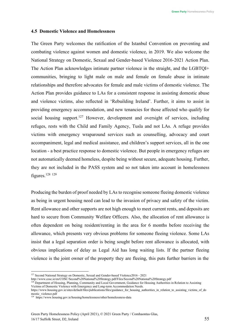#### <span id="page-54-0"></span>**4.5 Domestic Violence and Homelessness**

The Green Party welcomes the ratification of the Istanbul Convention on preventing and combating violence against women and domestic violence, in 2019. We also welcome the National Strategy on Domestic, Sexual and Gender-based Violence 2016-2021 Action Plan. The Action Plan acknowledges intimate partner violence in the straight, and the LGBTQI+ communities, bringing to light male on male and female on female abuse in intimate relationships and therefore advocates for female and male victims of domestic violence. The Action Plan provides guidance to LAs for a consistent response in assisting domestic abuse and violence victims, also reflected in 'Rebuilding Ireland'. Further, it aims to assist in providing emergency accommodation, and new tenancies for those affected who qualify for social housing support.<sup>127</sup> However, development and oversight of services, including refuges, rests with the Child and Family Agency, Tusla and not LAs. A refuge provides victims with emergency wraparound services such as counselling, advocacy and court accompaniment, legal and medical assistance, and children's support services, all in the one location - a best practice response to domestic violence. But people in emergency refuges are not automatically deemed homeless, despite being without secure, adequate housing. Further, they are not included in the PASS system and so not taken into account in homelessness figures[.128](#page-54-2) [129](#page-54-3)

Producing the burden of proof needed by LAs to recognise someone fleeing domestic violence as being in urgent housing need can lead to the invasion of privacy and safety of the victim. Rent allowance and other supports are not high enough to meet current rents, and deposits are hard to secure from Community Welfare Officers. Also, the allocation of rent allowance is often dependent on being resident/renting in the area for 6 months before receiving the allowance, which presents very obvious problems for someone fleeing violence. Some LAs insist that a legal separation order is being sought before rent allowance is allocated, with obvious implications of delay as Legal Aid has long waiting lists. If the partner fleeing violence is the joint owner of the property they are fleeing, this puts further barriers in the

<span id="page-54-1"></span><sup>127</sup> Second National Strategy on Domestic, Sexual and Gender-based Violence2016 - 2021

<http://www.cosc.ie/en/COSC/Second%20National%20Strategy.pdf/Files/Second%20National%20Strategy.pdf>

<span id="page-54-2"></span><sup>&</sup>lt;sup>128</sup> Department of Housing, Planning, Community and Local Government, Guidance for Housing Authorities in Relation to Assisting Victims of Domestic Violence with Emergency and Long-term Accommodation Needs.

http[s://www.h](http://www.housing.gov.ie/sites/default/files/publications/files/guidance_for_housing_authorities_in_relation_to_assisting_victims_of_do)o[using.gov.ie/sites/default/files/publications/files/guidance\\_for\\_housing\\_authorities\\_in\\_relation\\_to\\_assisting\\_victims\\_of\\_do](http://www.housing.gov.ie/sites/default/files/publications/files/guidance_for_housing_authorities_in_relation_to_assisting_victims_of_do) mestic\_violence.pdf

<span id="page-54-3"></span><sup>&</sup>lt;sup>129</sup> http[s://www.h](http://www.housing.gov.ie/housing/homelessness/other/homelessness-data)o[using.gov.ie/housing/homelessness/other/homelessness-data](http://www.housing.gov.ie/housing/homelessness/other/homelessness-data)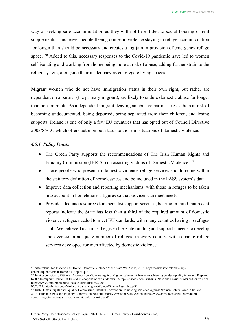way of seeking safe accommodation as they will not be entitled to social housing or rent supplements. This leaves people fleeing domestic violence staying in refuge accommodation for longer than should be necessary and creates a log jam in provision of emergency refuge space.<sup>130</sup> Added to this, necessary responses to the Covid-19 pandemic have led to women self-isolating and working from home being more at risk of abuse, adding further strain to the refuge system, alongside their inadequacy as congregate living spaces.

Migrant women who do not have immigration status in their own right, but rather are dependent on a partner (the primary migrant), are likely to endure domestic abuse for longer than non-migrants. As a dependent migrant, leaving an abusive partner leaves them at risk of becoming undocumented, being deported, being separated from their children, and losing supports. Ireland is one of only a few EU countries that has opted out of Council Directive 2003/86/EC which offers autonomous status to those in situations of domestic violence[.131](#page-55-1)

#### *4.5.1 Policy Points*

- The Green Party supports the recommendations of The Irish Human Rights and Equality Commission (IHREC) on assisting victims of Domestic Violence.<sup>132</sup>
- Those people who present to domestic violence refuge services should come within the statutory definition of homelessness and be included in the PASS system's data.
- Improve data collection and reporting mechanisms, with those in refuges to be taken into account in homelessness figures so that services can meet needs.
- Provide adequate resources for specialist support services, bearing in mind that recent reports indicate the State has less than a third of the required amount of domestic violence refuges needed to meet EU standards, with many counties having no refuges at all. We believe Tusla must be given the State funding and support it needs to develop and oversee an adequate number of refuges, in every county, with separate refuge services developed for men affected by domestic violence.

<span id="page-55-0"></span><sup>130</sup> Safeireland, No Place to Call Home. Domestic Violence & the State We Are In, 2016. http[s://www.s](http://www.safeireland.ie/wp-)a[feireland.ie/wp](http://www.safeireland.ie/wp-)content/uploads/Final-Homeless-Report-.pdf

<span id="page-55-1"></span><sup>&</sup>lt;sup>131</sup> Joint submission to Citizens' Assembly on Violence Against Migrant Women. A barrier to achieving gender equality in Ireland Prepared by the Immigrant Council of Ireland in cooperation with Akidwa, Stamp-3-Association, Ruhama, Nasc and Sexual Violence Centre Cork http[s://www.immigrantcouncil.ie/sites/default/files/2020-](http://www.immigrantcouncil.ie/sites/default/files/2020-)

<sup>03/2020</sup>JointSubmissiononViolenceAgainstMigrantWomenCitizensAssembly.pdf

<span id="page-55-2"></span><sup>&</sup>lt;sup>132</sup> Irish Human Rights and Equality Commission, Istanbul Convention Combating Violence Against Women Enters Force in Ireland, 2019. Human Rights and Equality Commission Sets out Priority Areas for State Action. http[s://www.ihrec.ie/istanbul-convention](http://www.ihrec.ie/istanbul-convention-)combatting-violence-against-women-enters-force-in-ireland/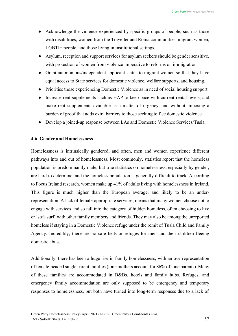- Acknowledge the violence experienced by specific groups of people, such as those with disabilities, women from the Traveller and Roma communities, migrant women, LGBTI+ people, and those living in institutional settings.
- Asylum, reception and support services for asylum seekers should be gender sensitive, with protection of women from violence imperative to reforms on immigration.
- Grant autonomous/independent applicant status to migrant women so that they have equal access to State services for domestic violence, welfare supports, and housing.
- Prioritise those experiencing Domestic Violence as in need of social housing support.
- Increase rent supplements such as HAP to keep pace with current rental levels, and make rent supplements available as a matter of urgency, and without imposing a burden of proof that adds extra barriers to those seeking to flee domestic violence.
- Develop a joined-up response between LAs and Domestic Violence Services/Tusla.

# <span id="page-56-0"></span>**4.6 Gender and Homelessness**

Homelessness is intrinsically gendered, and often, men and women experience different pathways into and out of homelessness. Most commonly, statistics report that the homeless population is predominantly male, but true statistics on homelessness, especially by gender, are hard to determine, and the homeless population is generally difficult to track. According to Focus Ireland research, women make up 41% of adults living with homelessness in Ireland. This figure is much higher than the European average, and likely to be an underrepresentation. A lack of female-appropriate services, means that many women choose not to engage with services and so fall into the category of hidden homeless, often choosing to live or 'sofa surf' with other family members and friends. They may also be among the unreported homeless if staying in a Domestic Violence refuge under the remit of Tusla Child and Family Agency. Incredibly, there are no safe beds or refuges for men and their children fleeing domestic abuse.

Additionally, there has been a huge rise in family homelessness, with an overrepresentation of female-headed single parent families (lone mothers account for 86% of lone parents). Many of these families are accommodated in B&Bs, hotels and family hubs. Refuges, and emergency family accommodation are only supposed to be emergency and temporary responses to homelessness, but both have turned into long-term responses due to a lack of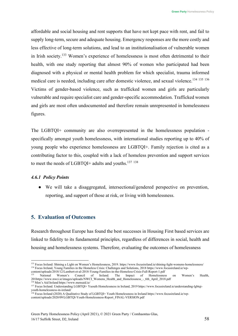affordable and social housing and rent supports that have not kept pace with rent, and fail to supply long-term, secure and adequate housing. Emergency responses are the more costly and less effective of long-term solutions, and lead to an institutionalisation of vulnerable women in Irish society.[133](#page-57-1) Women's experience of homelessness is most often detrimental to their health, with one study reporting that almost 90% of women who participated had been diagnosed with a physical or mental health problem for which specialist, trauma informed medical care is needed, including care after domestic violence, and sexual violence.<sup>[134](#page-57-2) [135](#page-57-3)</sup> [136](#page-57-4) Victims of gender-based violence, such as trafficked women and girls are particularly vulnerable and require specialist care and gender-specific accommodation. Trafficked women and girls are most often undocumented and therefore remain unrepresented in homelessness figures.

The LGBTQI+ community are also overrepresented in the homelessness population specifically amongst youth homelessness, with international studies reporting up to 40% of young people who experience homelessness are LGBTQI+. Family rejection is cited as a contributing factor to this, coupled with a lack of homeless prevention and support services to meet the needs of LGBTQI+ adults and youths.<sup>137 [138](#page-57-6)</sup>

# *4.6.1 Policy Points*

● We will take a disaggregated, intersectional/gendered perspective on prevention, reporting, and support of those at risk, or living with homelessness.

# <span id="page-57-0"></span>**5. Evaluation of Outcomes**

Research throughout Europe has found the best successes in Housing First based services are linked to fidelity to its fundamental principles, regardless of differences in social, health and housing and homelessness systems. Therefore, evaluating the outcomes of homelessness

<span id="page-57-2"></span><span id="page-57-1"></span><sup>133</sup> Focus Ireland: Shining a Light on Women's Homelessness, 2019. https:/[/www.focusireland.ie/shining-light-womens-homelessness/](http://www.focusireland.ie/shining-light-womens-homelessness/) <sup>134</sup> Focus Ireland, Young Families in the Homeless Crisis: Challenges and Solutions, 2018 http[s://www.focusireland.ie/wp](http://www.focusireland.ie/wp-)content/uploads/2018/12/Lambert-et-al-2018-Young-Families-in-the-Homeless-Crisis-Full-Report-1.pdf

<span id="page-57-3"></span><sup>&</sup>lt;sup>135</sup> National Women's Council of Ireland. The Impact of Homelessness on Women's Health, 201http[s://www.nwci.ie/images/uploads/NWCI\\_Womens\\_Health\\_and\\_Homelessness\\_-\\_6th\\_April\\_2018.pdf](http://www.nwci.ie/images/uploads/NWCI_Womens_Health_and_Homelessness_-_6th_April_2018.pdf)

<span id="page-57-4"></span><sup>136</sup> Men's Aid Ireland http[s://www.m](http://www.mensaid.ie/)e[nsaid.ie/](http://www.mensaid.ie/)

<span id="page-57-5"></span><sup>137</sup> Focus Ireland. Understanding LGBTQI+ Yuouth Homelessness in Ireland, 2019 http[s://www.focusireland.ie/understanding-lgbtqi](http://www.focusireland.ie/understanding-lgbtqi-)youth-homelessness-in-ireland/

<span id="page-57-6"></span><sup>138</sup> Focus Ireland (2020) A Qualitative Study of LGBTQI+ Youth Homelessness in Ireland http[s://www.focusireland.ie/wp](http://www.focusireland.ie/wp-)content/uploads/2020/09/LGBTQI-Youth-Homelessness-Report\_FINAL-VERSION.pdf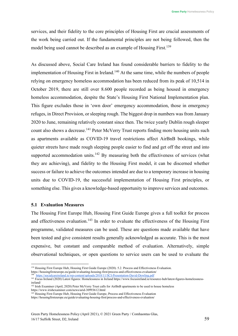services, and their fidelity to the core principles of Housing First are crucial assessments of the work being carried out. If the fundamental principles are not being followed, then the model being used cannot be described as an example of Housing First.<sup>139</sup>

As discussed above, Social Care Ireland has found considerable barriers to fidelity to the implementation of Housing First in Ireland.<sup>140</sup> At the same time, while the numbers of people relying on emergency homeless accommodation has been reduced from its peak of 10,514 in October 2019, there are still over 8.600 people recorded as being housed in emergency homeless accommodation, despite the State's Housing First National Implementation plan. This figure excludes those in 'own door' emergency accommodation, those in emergency refuges, in Direct Provision, or sleeping rough. The biggest drop in numbers was from January 2020 to June, remaining relatively constant since then. The twice yearly Dublin rough sleeper count also shows a decrease.<sup>[141](#page-58-3)</sup> Peter McVerry Trust reports finding more housing units such as apartments available as COVID-19 travel restrictions affect AirBnB bookings, while quieter streets have made rough sleeping people easier to find and get off the street and into supported accommodation units.<sup>142</sup> By measuring both the effectiveness of services (what they are achieving), and fidelity to the Housing First model, it can be discerned whether success or failure to achieve the outcomes intended are due to a temporary increase in housing units due to COVID-19, the successful implementation of Housing First principles, or something else. This gives a knowledge-based opportunity to improve services and outcomes.

#### <span id="page-58-0"></span>**5.1 Evaluation Measures**

The Housing First Europe Hub, Housing First Guide Europe gives a full toolkit for process and effectiveness evaluation.<sup>[143](#page-58-5)</sup> In order to evaluate the effectiveness of the Housing First programme, validated measures can be used. These are questions made available that have been tested and give consistent results generally acknowledged as accurate. This is the most expensive, but constant and comparable method of evaluation. Alternatively, simple observational techniques, or open questions to service users can be used to evaluate the

<span id="page-58-1"></span><sup>&</sup>lt;sup>139</sup> Housing First Europe Hub, Housing First Guide Europe (2020). 5.2. Process and Effectiveness Evaluation.

https://housingfirsteurope.eu/guide/evaluating-housing-first/process-and-effectiveness-evaluation/ <https://socialcareireland.ie/wp-content/uploads/2018/11/SCI-Presentation-David-Dowling.pdf>

<span id="page-58-3"></span><span id="page-58-2"></span><sup>&</sup>lt;sup>141</sup> Focus Ireland (2020) Latest figures: Homelessness in Ireland http[s://www.focusireland.ie/resource-hub/latest-figures-homelessness](http://www.focusireland.ie/resource-hub/latest-figures-homelessness-)ireland/

<span id="page-58-4"></span><sup>142</sup> Irish Examiner (April, 2020) Peter McVerry Trust calls for AirBnB apartments to be used to house homeless http[s://www.irishexaminer.com/news/arid-30993612.html](http://www.irishexaminer.com/news/arid-30993612.html)

<span id="page-58-5"></span><sup>&</sup>lt;sup>143</sup> Housing First Europe Hub, Housing First Guide Europe, Process and Effectiveness Evaluation https://housingfirsteurope.eu/guide/evaluating-housing-first/process-and-effectiveness-evaluation/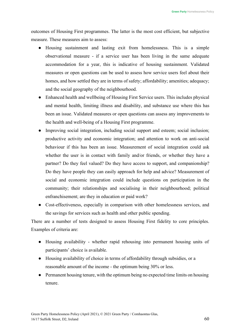outcomes of Housing First programmes. The latter is the most cost efficient, but subjective measure. These measures aim to assess:

- Housing sustainment and lasting exit from homelessness. This is a simple observational measure - if a service user has been living in the same adequate accommodation for a year, this is indicative of housing sustainment. Validated measures or open questions can be used to assess how service users feel about their homes, and how settled they are in terms of safety; affordability; amenities; adequacy; and the social geography of the neighbourhood.
- Enhanced health and wellbeing of Housing First Service users. This includes physical and mental health, limiting illness and disability, and substance use where this has been an issue. Validated measures or open questions can assess any improvements to the health and well-being of a Housing First programme.
- Improving social integration, including social support and esteem; social inclusion; productive activity and economic integration; and attention to work on anti-social behaviour if this has been an issue. Measurement of social integration could ask whether the user is in contact with family and/or friends, or whether they have a partner? Do they feel valued? Do they have access to support, and companionship? Do they have people they can easily approach for help and advice? Measurement of social and economic integration could include questions on participation in the community; their relationships and socialising in their neighbourhood; political enfranchisement; are they in education or paid work?
- Cost-effectiveness, especially in comparison with other homelessness services, and the savings for services such as health and other public spending.

There are a number of tests designed to assess Housing First fidelity to core principles. Examples of criteria are:

- Housing availability whether rapid rehousing into permanent housing units of participants' choice is available.
- Housing availability of choice in terms of affordability through subsidies, or a reasonable amount of the income - the optimum being 30% or less.
- Permanent housing tenure, with the optimum being no expected time limits on housing tenure.